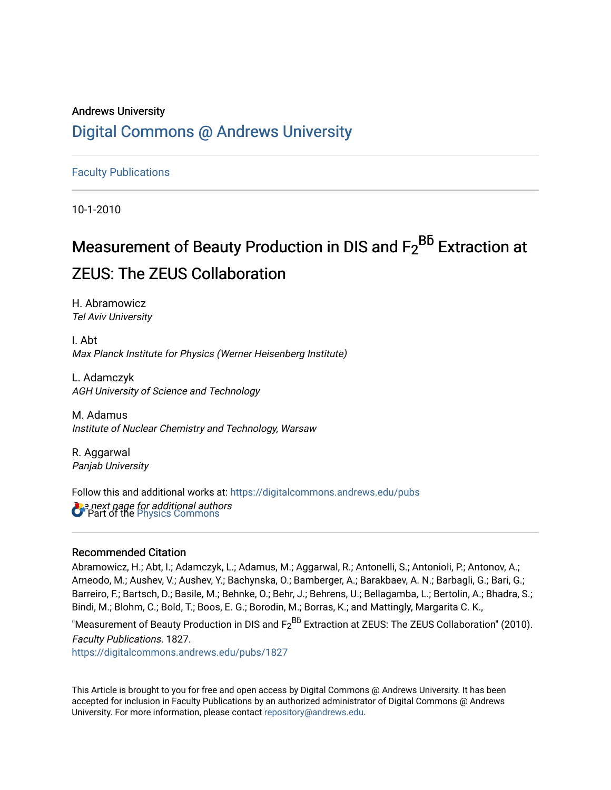## Andrews University [Digital Commons @ Andrews University](https://digitalcommons.andrews.edu/)

[Faculty Publications](https://digitalcommons.andrews.edu/pubs)

10-1-2010

# Measurement of Beauty Production in DIS and F2 Bb**̄** Extraction at ZEUS: The ZEUS Collaboration

H. Abramowicz Tel Aviv University

I. Abt Max Planck Institute for Physics (Werner Heisenberg Institute)

L. Adamczyk AGH University of Science and Technology

M. Adamus Institute of Nuclear Chemistry and Technology, Warsaw

R. Aggarwal Panjab University

*Oue next page for additional authors*<br>**C** Part of the [Physics Commons](http://network.bepress.com/hgg/discipline/193?utm_source=digitalcommons.andrews.edu%2Fpubs%2F1827&utm_medium=PDF&utm_campaign=PDFCoverPages) Follow this and additional works at: [https://digitalcommons.andrews.edu/pubs](https://digitalcommons.andrews.edu/pubs?utm_source=digitalcommons.andrews.edu%2Fpubs%2F1827&utm_medium=PDF&utm_campaign=PDFCoverPages) 

### Recommended Citation

Abramowicz, H.; Abt, I.; Adamczyk, L.; Adamus, M.; Aggarwal, R.; Antonelli, S.; Antonioli, P.; Antonov, A.; Arneodo, M.; Aushev, V.; Aushev, Y.; Bachynska, O.; Bamberger, A.; Barakbaev, A. N.; Barbagli, G.; Bari, G.; Barreiro, F.; Bartsch, D.; Basile, M.; Behnke, O.; Behr, J.; Behrens, U.; Bellagamba, L.; Bertolin, A.; Bhadra, S.; Bindi, M.; Blohm, C.; Bold, T.; Boos, E. G.; Borodin, M.; Borras, K.; and Mattingly, Margarita C. K.,

"Measurement of Beauty Production in DIS and  ${{\sf F}_2}^{B\bar{b}}$  Extraction at ZEUS: The ZEUS Collaboration" (2010). Faculty Publications. 1827.

[https://digitalcommons.andrews.edu/pubs/1827](https://digitalcommons.andrews.edu/pubs/1827?utm_source=digitalcommons.andrews.edu%2Fpubs%2F1827&utm_medium=PDF&utm_campaign=PDFCoverPages) 

This Article is brought to you for free and open access by Digital Commons @ Andrews University. It has been accepted for inclusion in Faculty Publications by an authorized administrator of Digital Commons @ Andrews University. For more information, please contact [repository@andrews.edu](mailto:repository@andrews.edu).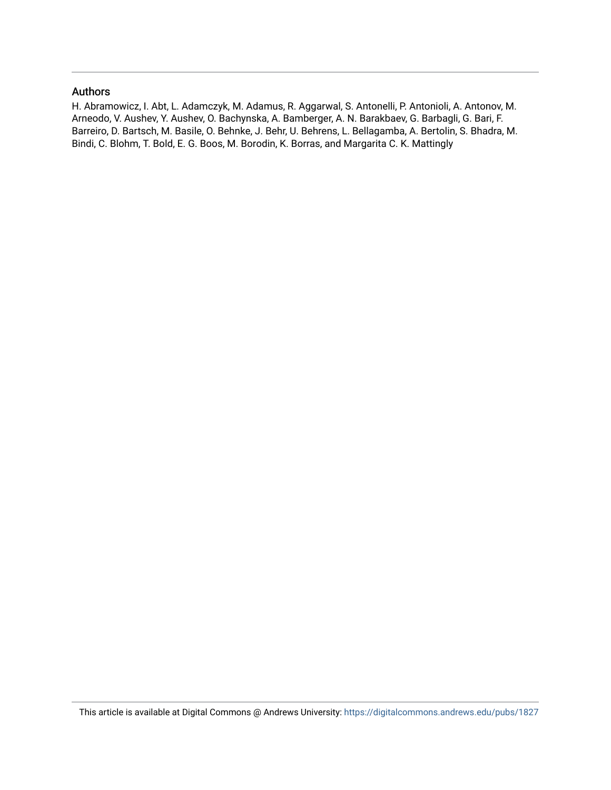#### Authors

H. Abramowicz, I. Abt, L. Adamczyk, M. Adamus, R. Aggarwal, S. Antonelli, P. Antonioli, A. Antonov, M. Arneodo, V. Aushev, Y. Aushev, O. Bachynska, A. Bamberger, A. N. Barakbaev, G. Barbagli, G. Bari, F. Barreiro, D. Bartsch, M. Basile, O. Behnke, J. Behr, U. Behrens, L. Bellagamba, A. Bertolin, S. Bhadra, M. Bindi, C. Blohm, T. Bold, E. G. Boos, M. Borodin, K. Borras, and Margarita C. K. Mattingly

This article is available at Digital Commons @ Andrews University:<https://digitalcommons.andrews.edu/pubs/1827>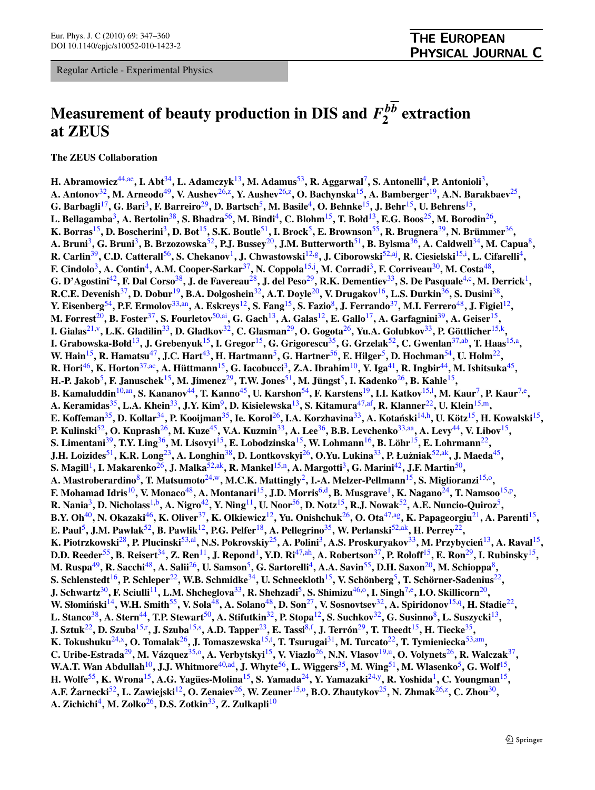Regular Article - Experimental Physics

### **THE EUROPEAN** PHYSICAL JOURNAL C

# **Measurement of beauty production in DIS and**  $F_2^{b\overline{b}}$  **extraction at ZEUS**

**The ZEUS Collaboration**

**H. Abramowicz**[44](#page-3-0)[,ae](#page-4-0)**, I. Abt**[34](#page-3-1)**, L. Adamczyk**[13](#page-3-2)**, M. Adamus**[53](#page-3-3)**, R. Aggarwal**[7](#page-3-4)**, S. Antonelli**[4](#page-3-5)**, P. Antonioli**[3](#page-3-6)**, A. Antonov**[32](#page-3-7)**, M. Arneodo**[49](#page-3-8)**, V. Aushev**[26](#page-3-9),[z](#page-4-1)**, Y. Aushev**[26,](#page-3-9)[z](#page-4-1)**, O. Bachynska**[15](#page-3-10)**, A. Bamberger**[19](#page-3-11)**, A.N. Barakbaev**[25](#page-3-12)**, G. Barbagli**[17](#page-3-13)**, G. Bari**[3](#page-3-6)**, F. Barreiro**[29](#page-3-14)**, D. Bartsch**[5](#page-3-15)**, M. Basile**[4](#page-3-5)**, O. Behnke**[15](#page-3-10)**, J. Behr**[15](#page-3-10)**, U. Behrens**[15](#page-3-10)**, L. Bellagamba**[3](#page-3-6)**, A. Bertolin**[38](#page-3-16)**, S. Bhadra**[56](#page-3-17)**, M. Bindi**[4](#page-3-5)**, C. Blohm**[15](#page-3-10)**, T. Bołd**[13](#page-3-2)**, E.G. Boos**[25](#page-3-12)**, M. Borodin**[26](#page-3-9)**, K. Borras**[15](#page-3-10)**, D. Boscherini**[3](#page-3-6)**, D. Bot**[15](#page-3-10)**, S.K. Boutle**[51](#page-3-18)**, I. Brock**[5](#page-3-15)**, E. Brownson**[55](#page-3-19)**, R. Brugnera**[39](#page-3-20)**, N. Brümmer**[36](#page-3-21)**, A. Bruni**[3](#page-3-6)**, G. Bruni**[3](#page-3-6)**, B. Brzozowska**[52](#page-3-22)**, P.J. Bussey**[20](#page-3-23)**, J.M. Butterworth**[51](#page-3-18)**, B. Bylsma**[36](#page-3-21)**, A. Caldwell**[34](#page-3-1)**, M. Capua**[8](#page-3-24)**, R. Carlin**[39](#page-3-20)**, C.D. Catterall**[56](#page-3-17)**, S. Chekanov**[1](#page-3-25)**, J. Chwastowski**[12](#page-3-26)[,g](#page-4-2)**, J. Ciborowski**[52,](#page-3-22)[aj](#page-4-3)**, R. Ciesielski**[15,](#page-3-10)[i](#page-4-4) **, L. Cifarelli**[4](#page-3-5)**, F. Cindolo**[3](#page-3-6)**, A. Contin**[4](#page-3-5)**, A.M. Cooper-Sarkar**[37](#page-3-27)**, N. Coppola**[15,](#page-3-10)[j](#page-4-5) **, M. Corradi**[3](#page-3-6)**, F. Corriveau**[30](#page-3-28)**, M. Costa**[48](#page-3-29)**, G. D'Agostini**[42](#page-3-30)**, F. Dal Corso**[38](#page-3-16)**, J. de Favereau**[28](#page-3-31)**, J. del Peso**[29](#page-3-14)**, R.K. Dementiev**[33](#page-3-32)**, S. De Pasquale**[4](#page-3-5)[,c](#page-3-33)**, M. Derrick**[1](#page-3-25)**, R.C.E. Devenish**[37](#page-3-27)**, D. Dobur**[19](#page-3-11)**, B.A. Dolgoshein**[32](#page-3-7)**, A.T. Doyle**[20](#page-3-23)**, V. Drugakov**[16](#page-3-34)**, L.S. Durkin**[36](#page-3-21)**, S. Dusini**[38](#page-3-16)**, Y. Eisenberg**[54](#page-3-35)**, P.F. Ermolov**[33,](#page-3-32)[an](#page-4-6)**, A. Eskreys**[12](#page-3-26)**, S. Fang**[15](#page-3-10)**, S. Fazio**[8](#page-3-24)**, J. Ferrando**[37](#page-3-27)**, M.I. Ferrero**[48](#page-3-29)**, J. Figiel**[12](#page-3-26)**, M. Forrest**[20](#page-3-23)**, B. Foster**[37](#page-3-27)**, S. Fourletov**[50](#page-3-36)[,ai](#page-4-7)**, G. Gach**[13](#page-3-2)**, A. Galas**[12](#page-3-26)**, E. Gallo**[17](#page-3-13)**, A. Garfagnini**[39](#page-3-20)**, A. Geiser**[15](#page-3-10)**, I. Gialas**[21](#page-3-37)[,v](#page-4-8)**, L.K. Gladilin**[33](#page-3-32)**, D. Gladkov**[32](#page-3-7)**, C. Glasman**[29](#page-3-14)**, O. Gogota**[26](#page-3-9)**, Yu.A. Golubkov**[33](#page-3-32)**, P. Göttlicher**[15](#page-3-10)[,k](#page-4-9)**, I. Grabowska-Bołd**[13](#page-3-2)**, J. Grebenyuk**[15](#page-3-10)**, I. Gregor**[15](#page-3-10)**, G. Grigorescu**[35](#page-3-38)**, G. Grzelak**[52](#page-3-22)**, C. Gwenlan**[37,](#page-3-27)[ab](#page-4-10)**, T. Haas**[15](#page-3-10)[,a](#page-3-39)**, W. Hain**[15](#page-3-10)**, R. Hamatsu**[47](#page-3-40)**, J.C. Hart**[43](#page-3-41)**, H. Hartmann**[5](#page-3-15)**, G. Hartner**[56](#page-3-17)**, E. Hilger**[5](#page-3-15)**, D. Hochman**[54](#page-3-35)**, U. Holm**[22](#page-3-42)**, R. Hori**[46](#page-3-43)**, K. Horton**[37](#page-3-27)[,ac](#page-4-11)**, A. Hüttmann**[15](#page-3-10)**, G. Iacobucci**[3](#page-3-6)**, Z.A. Ibrahim**[10](#page-3-44)**, Y. Iga**[41](#page-3-45)**, R. Ingbir**[44](#page-3-0)**, M. Ishitsuka**[45](#page-3-46)**, H.-P. Jakob**[5](#page-3-15)**, F. Januschek**[15](#page-3-10)**, M. Jimenez**[29](#page-3-14)**, T.W. Jones**[51](#page-3-18)**, M. Jüngst**[5](#page-3-15)**, I. Kadenko**[26](#page-3-9)**, B. Kahle**[15](#page-3-10)**, B. Kamaluddin**[10,](#page-3-44)[an](#page-4-6)**, S. Kananov**[44](#page-3-0)**, T. Kanno**[45](#page-3-46)**, U. Karshon**[54](#page-3-35)**, F. Karstens**[19](#page-3-11)**, I.I. Katkov**[15](#page-3-10)[,l](#page-4-12) **, M. Kaur**[7](#page-3-4)**, P. Kaur**[7](#page-3-4)[,e](#page-4-13)**, A. Keramidas**[35](#page-3-38)**, L.A. Khein**[33](#page-3-32)**, J.Y. Kim**[9](#page-3-47)**, D. Kisielewska**[13](#page-3-2)**, S. Kitamura**[47](#page-3-40)[,af](#page-4-14)**, R. Klanner**[22](#page-3-42)**, U. Klein**[15,](#page-3-10)[m](#page-4-15)**, E. Koffeman**[35](#page-3-38)**, D. Kollar**[34](#page-3-1)**, P. Kooijman**[35](#page-3-38)**, Ie. Korol**[26](#page-3-9)**, I.A. Korzhavina**[33](#page-3-32)**, A. Kotanski ´** [14](#page-3-48)[,h](#page-4-16)**, U. Kötz**[15](#page-3-10)**, H. Kowalski**[15](#page-3-10)**, P. Kulinski**[52](#page-3-22)**, O. Kuprash**[26](#page-3-9)**, M. Kuze**[45](#page-3-46)**, V.A. Kuzmin**[33](#page-3-32)**, A. Lee**[36](#page-3-21)**, B.B. Levchenko**[33,](#page-3-32)[aa](#page-4-17)**, A. Levy**[44](#page-3-0)**, V. Libov**[15](#page-3-10)**, S. Limentani**[39](#page-3-20)**, T.Y. Ling**[36](#page-3-21)**, M. Lisovyi**[15](#page-3-10)**, E. Lobodzinska**[15](#page-3-10)**, W. Lohmann**[16](#page-3-34)**, B. Löhr**[15](#page-3-10)**, E. Lohrmann**[22](#page-3-42)**, J.H. Loizides**[51](#page-3-18)**, K.R. Long**[23](#page-3-49)**, A. Longhin**[38](#page-3-16)**, D. Lontkovskyi**[26](#page-3-9)**, O.Yu. Lukina**[33](#page-3-32)**, P. Łu˙zniak**[52](#page-3-22),[ak](#page-4-18)**, J. Maeda**[45](#page-3-46)**, S. Magill**[1](#page-3-25)**, I. Makarenko**[26](#page-3-9)**, J. Malka**[52,](#page-3-22)[ak](#page-4-18)**, R. Mankel**[15](#page-3-10)[,n](#page-4-19)**, A. Margotti**[3](#page-3-6)**, G. Marini**[42](#page-3-30)**, J.F. Martin**[50](#page-3-36)**, A. Mastroberardino**[8](#page-3-24)**, T. Matsumoto**[24,](#page-3-50)[w](#page-4-20)**, M.C.K. Mattingly**[2](#page-3-51)**, I.-A. Melzer-Pellmann**[15](#page-3-10)**, S. Miglioranzi**[15](#page-3-10),[o](#page-4-21)**, F. Mohamad Idris**[10](#page-3-44)**, V. Monaco**[48](#page-3-29)**, A. Montanari**[15](#page-3-10)**, J.D. Morris**[6,](#page-3-52)[d](#page-3-53)**, B. Musgrave**[1](#page-3-25)**, K. Nagano**[24](#page-3-50)**, T. Namsoo**[15](#page-3-10),[p](#page-4-22)**, R. Nania**[3](#page-3-6)**, D. Nicholass**[1,](#page-3-25)[b](#page-3-54)**, A. Nigro**[42](#page-3-30)**, Y. Ning**[11](#page-3-55)**, U. Noor**[56](#page-3-17)**, D. Notz**[15](#page-3-10)**, R.J. Nowak**[52](#page-3-22)**, A.E. Nuncio-Quiroz**[5](#page-3-15)**, B.Y. Oh**[40](#page-3-56)**, N. Okazaki**[46](#page-3-43)**, K. Oliver**[37](#page-3-27)**, K. Olkiewicz**[12](#page-3-26)**, Yu. Onishchuk**[26](#page-3-9)**, O. Ota**[47](#page-3-40),[ag](#page-4-23)**, K. Papageorgiu**[21](#page-3-37)**, A. Parenti**[15](#page-3-10)**, E. Paul**[5](#page-3-15)**, J.M. Pawlak**[52](#page-3-22)**, B. Pawlik**[12](#page-3-26)**, P.G. Pelfer**[18](#page-3-57)**, A. Pellegrino**[35](#page-3-38)**, W. Perlanski**[52](#page-3-22)[,ak](#page-4-18)**, H. Perrey**[22](#page-3-42)**, K. Piotrzkowski**[28](#page-3-31)**, P. Plucinski**[53,](#page-3-3)[al](#page-4-24)**, N.S. Pokrovskiy**[25](#page-3-12)**, A. Polini**[3](#page-3-6)**, A.S. Proskuryakov**[33](#page-3-32)**, M. Przybycien´** [13](#page-3-2)**, A. Raval**[15](#page-3-10)**, D.D. Reeder**[55](#page-3-19)**, B. Reisert**[34](#page-3-1)**, Z. Ren**[11](#page-3-55)**, J. Repond**[1](#page-3-25)**, Y.D. Ri**[47](#page-3-40)[,ah](#page-4-25)**, A. Robertson**[37](#page-3-27)**, P. Roloff**[15](#page-3-10)**, E. Ron**[29](#page-3-14)**, I. Rubinsky**[15](#page-3-10)**, M. Ruspa**[49](#page-3-8)**, R. Sacchi**[48](#page-3-29)**, A. Salii**[26](#page-3-9)**, U. Samson**[5](#page-3-15)**, G. Sartorelli**[4](#page-3-5)**, A.A. Savin**[55](#page-3-19)**, D.H. Saxon**[20](#page-3-23)**, M. Schioppa**[8](#page-3-24)**, S. Schlenstedt**[16](#page-3-34)**, P. Schleper**[22](#page-3-42)**, W.B. Schmidke**[34](#page-3-1)**, U. Schneekloth**[15](#page-3-10)**, V. Schönberg**[5](#page-3-15)**, T. Schörner-Sadenius**[22](#page-3-42)**, J. Schwartz**[30](#page-3-28)**, F. Sciulli**[11](#page-3-55)**, L.M. Shcheglova**[33](#page-3-32)**, R. Shehzadi**[5](#page-3-15)**, S. Shimizu**[46,](#page-3-43)[o](#page-4-21)**, I. Singh**[7,](#page-3-4)[e](#page-4-13)**, I.O. Skillicorn**[20](#page-3-23)**,** W. Słomiński<sup>[14](#page-3-48)</sup>, W.H. Smith<sup>[55](#page-3-19)</sup>, V. Sola<sup>[48](#page-3-29)</sup>, A. Solano<sup>48</sup>, D. Son<sup>[27](#page-3-58)</sup>, V. Sosnovtsev<sup>[32](#page-3-7)</sup>, A. Spiridonov<sup>[15,](#page-3-10)[q](#page-4-26)</sup>, H. Stadie<sup>[22](#page-3-42)</sup>, **L. Stanco**<sup>[38](#page-3-16)</sup>, A. Stern<sup>[44](#page-3-0)</sup>, T.P. Stewart<sup>[50](#page-3-36)</sup>, A. Stifutkin<sup>[32](#page-3-7)</sup>, P. Stopa<sup>[12](#page-3-26)</sup>, S. Suchkov<sup>32</sup>, G. Susinno<sup>[8](#page-3-24)</sup>, L. Suszycki<sup>[13](#page-3-2)</sup>,  $J.$  Sztuk $^{22}$  $^{22}$  $^{22}$ , D. Szuba $^{15,r}$  $^{15,r}$  $^{15,r}$  $^{15,r}$ , J. Szuba $^{15,s}$  $^{15,s}$  $^{15,s}$  $^{15,s}$ , A.D. Tapper $^{23}$  $^{23}$  $^{23}$ , E. Tassi $^{8,f}$  $^{8,f}$  $^{8,f}$  $^{8,f}$ , J. Terrón $^{29}$  $^{29}$  $^{29}$ , T. Theedt $^{15}$ , H. Tiecke $^{35},$  $^{35},$  $^{35},$ **K. Tokushuku**[24,](#page-3-50)[x](#page-4-30)**, O. Tomalak**[26](#page-3-9)**, J. Tomaszewska**[15,](#page-3-10)[t](#page-4-31) **, T. Tsurugai**[31](#page-3-59)**, M. Turcato**[22](#page-3-42)**, T. Tymieniecka**[53,](#page-3-3)[am](#page-4-32)**, C. Uribe-Estrada**[29](#page-3-14)**, M. Vázquez**[35,](#page-3-38)[o](#page-4-21)**, A. Verbytskyi**[15](#page-3-10)**, V. Viazlo**[26](#page-3-9)**, N.N. Vlasov**[19,](#page-3-11)[u](#page-4-33)**, O. Volynets**[26](#page-3-9)**, R. Walczak**[37](#page-3-27)**, W.A.T. Wan Abdullah**[10](#page-3-44)**, J.J. Whitmore**[40](#page-3-56)[,ad](#page-4-34)**, J. Whyte**[56](#page-3-17)**, L. Wiggers**[35](#page-3-38)**, M. Wing**[51](#page-3-18)**, M. Wlasenko**[5](#page-3-15)**, G. Wolf**[15](#page-3-10)**, H. Wolfe**[55](#page-3-19)**, K. Wrona**[15](#page-3-10)**, A.G. Yagües-Molina**[15](#page-3-10)**, S. Yamada**[24](#page-3-50)**, Y. Yamazaki**[24](#page-3-50),[y](#page-4-35)**, R. Yoshida**[1](#page-3-25)**, C. Youngman**[15](#page-3-10)**, A.F. Zarnecki ˙** [52](#page-3-22)**, L. Zawiejski**[12](#page-3-26)**, O. Zenaiev**[26](#page-3-9)**, W. Zeuner**[15](#page-3-10)[,o](#page-4-21)**, B.O. Zhautykov**[25](#page-3-12)**, N. Zhmak**[26](#page-3-9)[,z](#page-4-1)**, C. Zhou**[30](#page-3-28)**, A. Zichichi**[4](#page-3-5)**, M. Zolko**[26](#page-3-9)**, D.S. Zotkin**[33](#page-3-32)**, Z. Zulkapli**[10](#page-3-44)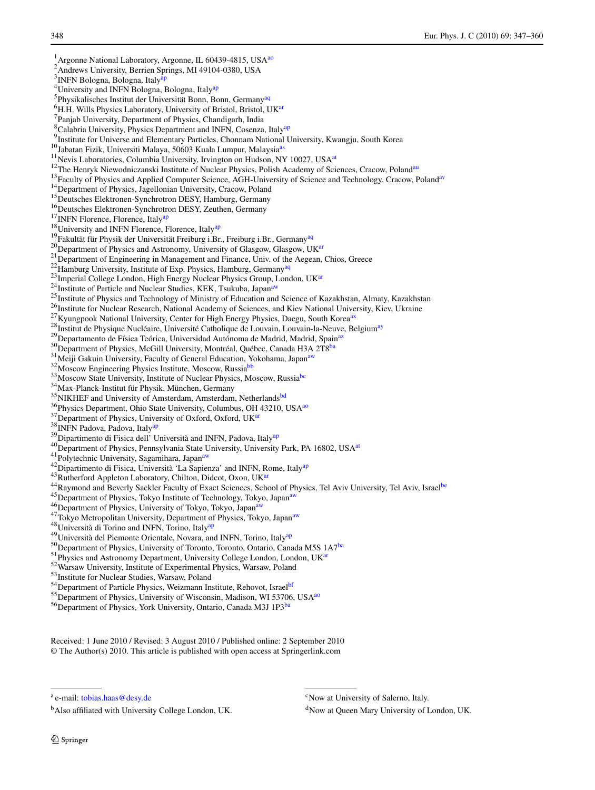<span id="page-3-59"></span><span id="page-3-58"></span><span id="page-3-57"></span><span id="page-3-55"></span><span id="page-3-52"></span><span id="page-3-51"></span><span id="page-3-50"></span><span id="page-3-49"></span><span id="page-3-48"></span><span id="page-3-47"></span><span id="page-3-44"></span><span id="page-3-42"></span><span id="page-3-38"></span><span id="page-3-37"></span><span id="page-3-34"></span><span id="page-3-32"></span><span id="page-3-31"></span><span id="page-3-28"></span><span id="page-3-26"></span><span id="page-3-25"></span><span id="page-3-24"></span><span id="page-3-23"></span><span id="page-3-15"></span><span id="page-3-14"></span><span id="page-3-13"></span><span id="page-3-12"></span><span id="page-3-11"></span><span id="page-3-10"></span><span id="page-3-9"></span><span id="page-3-7"></span><span id="page-3-6"></span><span id="page-3-5"></span><span id="page-3-4"></span><span id="page-3-2"></span><span id="page-3-1"></span><sup>1</sup> Argonne National Laboratory, Argonne, IL 60439-4815, USA<sup>[ao](#page-4-36)</sup> 2 Andrews University, Berrien Springs, MI 49104-0380, USA <sup>3</sup> INFN Bologna, Bologna, Italy<sup>ap</sup> <sup>4</sup> University and INFN Bologna, Bologna, Italy<sup>[ap](#page-4-37)</sup> <sup>5</sup>Physikalisches Institut der Universität Bonn, Bonn, Germany<sup>[aq](#page-4-38)</sup>  $^{6}$ H.H. Wills Physics Laboratory, University of Bristol, Bristol, U[Kar](#page-4-39) <sup>7</sup> Panjab University, Department of Physics, Chandigarh, India <sup>8</sup> Calabria University, Physics Department and INFN, Cosenza, Italy<sup>[ap](#page-4-37)</sup> <sup>9</sup> Institute for Universe and Elementary Particles, Chonnam National University, Kwangju, South Korea <sup>10</sup>Jabatan Fizik, Universiti Malaya, 50603 Kuala Lumpur, Malaysia<sup>[as](#page-4-40)</sup> <sup>10</sup> Jab[at](#page-4-41)an Fizik, Universiti Malaya, 50603 Kuala Lumpur, Malaysia<sup>as</sup><br><sup>11</sup> Nevis Laboratories, Columbia University, Irvington on Hudson, NY 10027, USA<sup>at</sup> <sup>12</sup>The Henryk Niewodniczanski Institute of Nuclear Physics, Polish Academy of Sciences, Cracow, Poland<sup>au</sup> <sup>13</sup>Faculty of Physics and Applied Computer Science, AGH-University of Science and Technology, Cracow, Poland<sup>[av](#page-4-43)</sup> <sup>14</sup>Department of Physics, Jagellonian University, Cracow, Poland <sup>15</sup>Deutsches Elek[tro](#page-4-37)nen-Synchrotron DESY, Hamburg, Germany <sup>16</sup>Deutsches Elektronen-Synchrotron DESY, Zeuthen, Germany <sup>17</sup>INFN Florence, Florence, Italy<sup></sup> <sup>18</sup>University and INFN Florence, Florence, Italy<sup>[ap](#page-4-37)</sup> <sup>19</sup> Fakultät für Physik der Universität Freiburg i.Br., Freiburg i.Br., Germany<sup>[aq](#page-4-38)</sup> <sup>20</sup>Department of Physics and Astronomy, University of Glasgow, Glasgow, UK<sup>ar</sup> 21 Department of Engineering in Management and Finance, Univ. of the Aegean, Chios, Greece  $22$  Hamburg University, Institute of Exp. Physics, Hamburg, Germany<sup>[aq](#page-4-38)</sup>  $^{23}$ Imperial College London, High Energy Nucle[ar](#page-4-39) Physics Group, London, UKar <sup>24</sup>Institute of Particle and Nuclear Studies, KEK, Tsukuba, Japan<sup>aw</sup><br><sup>25</sup>Institute of Physics and Technology of Ministry of Education and Science of Kazakhstan, Almaty, Kazakhstan <sup>26</sup>Institute for Nuclear Research, National Academy of Sciences, and Kiev National University, Kiev, Ukraine <sup>27</sup> Kyungpook National University, Center for High Energy Physics, Daegu, South Korea<sup>[ax](#page-4-45)</sup> 28 Institut de Physique Nucléaire, Université Catholique de Louvain, Louvain-la-Neuve, Belgium<sup>ay</sup> <sup>29</sup>Departamento de Física Teórica, Universidad Autónoma de Madrid, Madrid, Spain<sup>[az](#page-4-47)</sup> <sup>30</sup>Department of Physics, McGill University, Montréal, Québec, Canada H3A 2T8<sup>[ba](#page-4-48)</sup>  $31$ Meiji Gakuin University, Faculty of General Education, Yokohama, Japan<sup>a</sup> <sup>32</sup>Moscow Engineering Physics Institute, Moscow, Russia<sup>bl</sup>  $^{33}$ Moscow State University, Institute of Nuclear Physics, Moscow, Russia<sup>bc</sup>  $^{34}$ Max-Planck-Institut für Physik, München, Germany <sup>35</sup>NIKHEF and University of Amsterdam, Amsterdam, Netherlands<sup>bd</sup> <sup>36</sup>Physics Department, Ohio State University, Columbus, OH 43210, USA<sup>[ao](#page-4-36)</sup> <sup>37</sup>Department of Physics, University of Oxford, Oxford, UK<sup>ar</sup> <sup>38</sup> INFN Padova, Padova, Italy<sup>[ap](#page-4-37)</sup> <sup>39</sup>Dipartimento di Fisica dell' Università and INFN, Padova, Italy<sup>ap</sup> 40<br>Department of Physics, Pennsylvania Stat[e U](#page-4-44)niversity, University Park, PA 16802, USA<sup>[at](#page-4-41)</sup> <sup>41</sup>Polytechnic University, Sagamihara, Japan<sup>av</sup> <sup>42</sup>Dipartimento di Fisica, Università 'La Sapienza' and INFN, [Ro](#page-4-39)me, Italy<sup>[ap](#page-4-37)</sup> <sup>43</sup>Rutherford Appleton Laboratory, Chilton, Didcot, Oxon, UK<sup>ar</sup> 44 Raymond and Beverly Sackler Faculty of Exact Sciences, School of Physics, Tel Aviv University, Tel Aviv, Israel<sup>[be](#page-4-52)</sup> <sup>45</sup>Department of Physics, To[kyo](#page-4-44) Institute of Technology, Tokyo, Japan<sup>[aw](#page-4-44)</sup> <sup>46</sup>Department of Physics, University of Tokyo, Tokyo, Japan<sup>av</sup> <sup>47</sup>Tokyo Metropolitan University, Department [of](#page-4-37) Physics, Tokyo, Japan<sup>[aw](#page-4-44)</sup> 48Università di Torino and INFN, Torino, Italyap <sup>49</sup>Università del Piemonte Orientale, Novara, and INFN, Torino, Italy<sup>ap</sup>  $^{50}$ Department of Physics, University of Toronto, Toronto, Ontario, Canada M5S 1A7<sup>ba</sup> <sup>51</sup>Physics and Astronomy Dep[ar](#page-4-39)tment, University College London, London, UKar  $52$ Warsaw University, Institute of Experimental Physics, Warsaw, Poland  $53$ Institute for Nuclear Studies, Warsaw, Poland

- <span id="page-3-56"></span><span id="page-3-46"></span><span id="page-3-45"></span><span id="page-3-43"></span><span id="page-3-41"></span><span id="page-3-40"></span><span id="page-3-36"></span><span id="page-3-35"></span><span id="page-3-30"></span><span id="page-3-29"></span><span id="page-3-27"></span><span id="page-3-22"></span><span id="page-3-21"></span><span id="page-3-20"></span><span id="page-3-19"></span><span id="page-3-18"></span><span id="page-3-17"></span><span id="page-3-16"></span><span id="page-3-8"></span><span id="page-3-3"></span><span id="page-3-0"></span>
- <sup>54</sup>Department of Particle Physics, Weizmann Institute, Rehovot, Israel<sup>[bf](#page-4-53)</sup>
- 55 Department of Physics, University of Wisconsin, Madison, WI 53706, USA<sup>[ao](#page-4-36)</sup>

<span id="page-3-54"></span><span id="page-3-39"></span><sup>56</sup>Department of Physics, York University, Ontario, Canada M3J 1P3<sup>[ba](#page-4-48)</sup>

Received: 1 June 2010 / Revised: 3 August 2010 / Published online: 2 September 2010 © The Author(s) 2010. This article is published with open access at Springerlink.com

<sup>a</sup> e-mail: [tobias.haas@desy.de](mailto:tobias.haas@desy.de)

bAlso affiliated with University College London, UK.

<span id="page-3-53"></span><span id="page-3-33"></span><sup>&</sup>lt;sup>c</sup>Now at University of Salerno, Italy.

<sup>&</sup>lt;sup>d</sup>Now at Queen Mary University of London, UK.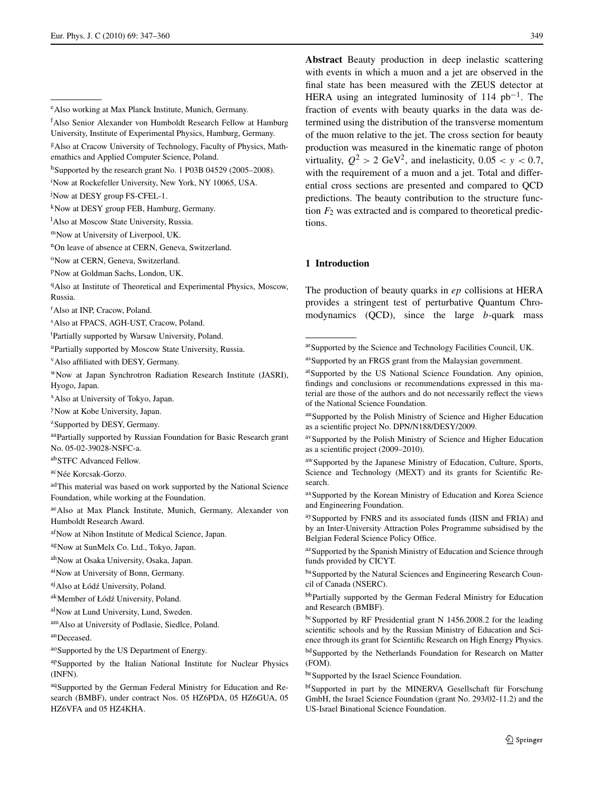- <span id="page-4-20"></span><sup>q</sup>Also at Institute of Theoretical and Experimental Physics, Moscow, Russia.
- <span id="page-4-30"></span>r Also at INP, Cracow, Poland.
- <span id="page-4-35"></span>s Also at FPACS, AGH-UST, Cracow, Poland.
- <span id="page-4-1"></span>t Partially supported by Warsaw University, Poland.
- <span id="page-4-17"></span>uPartially supported by Moscow State University, Russia.
- vAlso affiliated with DESY, Germany.
- <span id="page-4-11"></span><span id="page-4-10"></span>wNow at Japan Synchrotron Radiation Research Institute (JASRI), Hyogo, Japan.
- <span id="page-4-34"></span>xAlso at University of Tokyo, Japan.
- <span id="page-4-0"></span>yNow at Kobe University, Japan.
- <sup>z</sup>Supported by DESY, Germany.
- <span id="page-4-14"></span>aaPartially supported by Russian Foundation for Basic Research grant No. 05-02-39028-NSFC-a.
- <span id="page-4-23"></span>abSTFC Advanced Fellow.
- <span id="page-4-25"></span>acNée Korcsak-Gorzo.
- <span id="page-4-7"></span><span id="page-4-3"></span>adThis material was based on work supported by the National Science Foundation, while working at the Foundation.
- <span id="page-4-24"></span><span id="page-4-18"></span>aeAlso at Max Planck Institute, Munich, Germany, Alexander von Humboldt Research Award.
- <span id="page-4-32"></span>afNow at Nihon Institute of Medical Science, Japan.
- <span id="page-4-6"></span>agNow at SunMelx Co. Ltd., Tokyo, Japan.
- <span id="page-4-36"></span>ahNow at Osaka University, Osaka, Japan.
- <span id="page-4-37"></span>aiNow at University of Bonn, Germany.
- aj Also at Łódź University, Poland.
- <span id="page-4-38"></span>ak Member of Łódź University, Poland.
- alNow at Lund University, Lund, Sweden.
- amAlso at University of Podlasie, Siedlce, Poland.
- an<sub>Deceased</sub>.
- ao Supported by the US Department of Energy.
- apSupported by the Italian National Institute for Nuclear Physics (INFN).
- aq Supported by the German Federal Ministry for Education and Research (BMBF), under contract Nos. 05 HZ6PDA, 05 HZ6GUA, 05 HZ6VFA and 05 HZ4KHA.

**Abstract** Beauty production in deep inelastic scattering with events in which a muon and a jet are observed in the final state has been measured with the ZEUS detector at HERA using an integrated luminosity of 114  $pb^{-1}$ . The fraction of events with beauty quarks in the data was determined using the distribution of the transverse momentum of the muon relative to the jet. The cross section for beauty production was measured in the kinematic range of photon virtuality,  $Q^2 > 2$  GeV<sup>2</sup>, and inelasticity,  $0.05 < y < 0.7$ , with the requirement of a muon and a jet. Total and differential cross sections are presented and compared to QCD predictions. The beauty contribution to the structure function  $F_2$  was extracted and is compared to theoretical predictions.

#### <span id="page-4-40"></span><span id="page-4-39"></span>**1 Introduction**

<span id="page-4-41"></span>The production of beauty quarks in *ep* collisions at HERA provides a stringent test of perturbative Quantum Chromodynamics (QCD), since the large *b*-quark mass

- <span id="page-4-46"></span><span id="page-4-45"></span>auSupported by the Polish Ministry of Science and Higher Education as a scientific project No. DPN/N188/DESY/2009.
- avSupported by the Polish Ministry of Science and Higher Education as a scientific project (2009–2010).
- <span id="page-4-47"></span>awSupported by the Japanese Ministry of Education, Culture, Sports, Science and Technology (MEXT) and its grants for Scientific Research.
- <span id="page-4-48"></span>ax Supported by the Korean Ministry of Education and Korea Science and Engineering Foundation.
- <span id="page-4-50"></span><span id="page-4-49"></span>aySupported by FNRS and its associated funds (IISN and FRIA) and by an Inter-University Attraction Poles Programme subsidised by the Belgian Federal Science Policy Office.
- az Supported by the Spanish Ministry of Education and Science through funds provided by CICYT.
- <span id="page-4-51"></span>baSupported by the Natural Sciences and Engineering Research Council of Canada (NSERC).
- <span id="page-4-53"></span><span id="page-4-52"></span>bbPartially supported by the German Federal Ministry for Education and Research (BMBF).
- bcSupported by RF Presidential grant N 1456.2008.2 for the leading scientific schools and by the Russian Ministry of Education and Science through its grant for Scientific Research on High Energy Physics.
- bdSupported by the Netherlands Foundation for Research on Matter (FOM).
- be Supported by the Israel Science Foundation.
- bfSupported in part by the MINERVA Gesellschaft für Forschung GmbH, the Israel Science Foundation (grant No. 293/02-11.2) and the US-Israel Binational Science Foundation.

<span id="page-4-29"></span><span id="page-4-16"></span><span id="page-4-13"></span><span id="page-4-5"></span><span id="page-4-4"></span><span id="page-4-2"></span>eAlso working at Max Planck Institute, Munich, Germany.

<span id="page-4-12"></span><span id="page-4-9"></span>f Also Senior Alexander von Humboldt Research Fellow at Hamburg University, Institute of Experimental Physics, Hamburg, Germany.

<span id="page-4-15"></span>gAlso at Cracow University of Technology, Faculty of Physics, Mathemathics and Applied Computer Science, Poland.

<span id="page-4-21"></span><span id="page-4-19"></span>h Supported by the research grant No. 1 P03B 04529 (2005–2008).

<span id="page-4-22"></span>i Now at Rockefeller University, New York, NY 10065, USA.

<span id="page-4-26"></span><sup>&</sup>lt;sup>j</sup>Now at DESY group FS-CFEL-1.

<span id="page-4-27"></span><sup>&</sup>lt;sup>k</sup>Now at DESY group FEB, Hamburg, Germany.

<sup>&</sup>lt;sup>1</sup>Also at Moscow State University, Russia.

<span id="page-4-28"></span>mNow at University of Liverpool, UK.

<span id="page-4-31"></span><sup>&</sup>lt;sup>n</sup>On leave of absence at CERN, Geneva, Switzerland.

<span id="page-4-33"></span><sup>&</sup>lt;sup>o</sup>Now at CERN, Geneva, Switzerland.

<span id="page-4-8"></span>pNow at Goldman Sachs, London, UK.

<span id="page-4-43"></span><span id="page-4-42"></span>arSupported by the Science and Technology Facilities Council, UK.

as Supported by an FRGS grant from the Malaysian government.

<span id="page-4-44"></span>at Supported by the US National Science Foundation. Any opinion, findings and conclusions or recommendations expressed in this material are those of the authors and do not necessarily reflect the views of the National Science Foundation.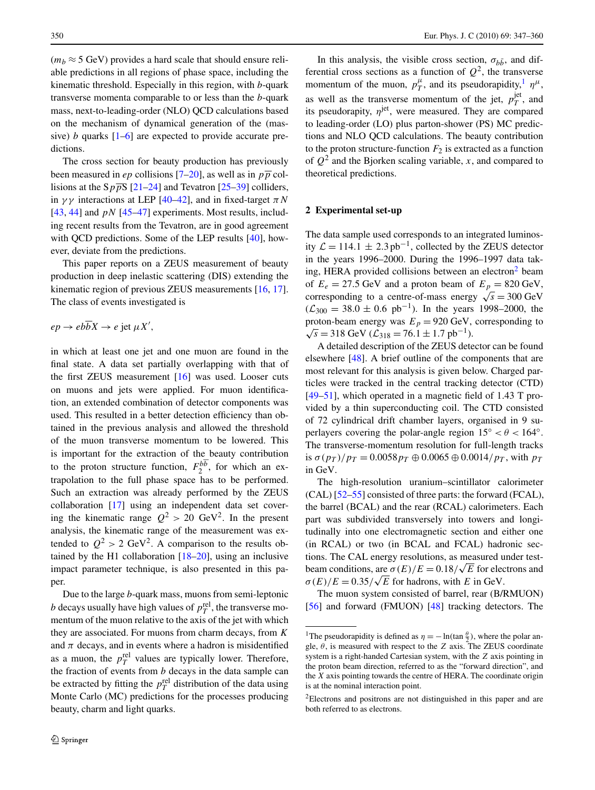$(m_b \approx 5 \text{ GeV})$  provides a hard scale that should ensure reliable predictions in all regions of phase space, including the kinematic threshold. Especially in this region, with *b*-quark transverse momenta comparable to or less than the *b*-quark mass, next-to-leading-order (NLO) QCD calculations based on the mechanism of dynamical generation of the (massive) *b* quarks  $\left[1-6\right]$  $\left[1-6\right]$  $\left[1-6\right]$  are expected to provide accurate predictions.

The cross section for beauty production has previously been measured in *ep* collisions [\[7](#page-14-2)[–20](#page-14-3)], as well as in  $p\overline{p}$  collisions at the  $Sp\overline{p}S$  [\[21](#page-14-4)[–24](#page-14-5)] and Tevatron [\[25](#page-14-6)[–39](#page-14-7)] colliders, in  $\gamma\gamma$  interactions at LEP [\[40](#page-14-8)[–42](#page-14-9)], and in fixed-target  $\pi N$ [\[43](#page-14-10), [44](#page-14-11)] and *pN* [[45–](#page-14-12)[47](#page-14-13)] experiments. Most results, including recent results from the Tevatron, are in good agreement with QCD predictions. Some of the LEP results [\[40\]](#page-14-8), however, deviate from the predictions.

This paper reports on a ZEUS measurement of beauty production in deep inelastic scattering (DIS) extending the kinematic region of previous ZEUS measurements [\[16](#page-14-14), [17](#page-14-15)]. The class of events investigated is

$$
ep \to eb\overline{b}X \to e\,\text{jet}\,\mu X',
$$

in which at least one jet and one muon are found in the final state. A data set partially overlapping with that of the first ZEUS measurement [[16\]](#page-14-14) was used. Looser cuts on muons and jets were applied. For muon identification, an extended combination of detector components was used. This resulted in a better detection efficiency than obtained in the previous analysis and allowed the threshold of the muon transverse momentum to be lowered. This is important for the extraction of the beauty contribution to the proton structure function,  $F_2^{b\overline{b}}$ , for which an extrapolation to the full phase space has to be performed. Such an extraction was already performed by the ZEUS collaboration [[17\]](#page-14-15) using an independent data set covering the kinematic range  $Q^2 > 20 \text{ GeV}^2$ . In the present analysis, the kinematic range of the measurement was extended to  $Q^2 > 2 \text{ GeV}^2$ . A comparison to the results obtained by the H1 collaboration [[18–](#page-14-16)[20\]](#page-14-3), using an inclusive impact parameter technique, is also presented in this paper.

Due to the large *b*-quark mass, muons from semi-leptonic *b* decays usually have high values of  $p_T^{\text{rel}}$ , the transverse momentum of the muon relative to the axis of the jet with which they are associated. For muons from charm decays, from *K* and  $\pi$  decays, and in events where a hadron is misidentified as a muon, the  $p_T^{\text{rel}}$  values are typically lower. Therefore, the fraction of events from *b* decays in the data sample can be extracted by fitting the  $p_T^{\text{rel}}$  distribution of the data using Monte Carlo (MC) predictions for the processes producing beauty, charm and light quarks.

In this analysis, the visible cross section,  $\sigma_{h\bar{h}}$ , and differential cross sections as a function of  $Q^2$ , the transverse momentum of the muon,  $p_T^{\mu}$ , and its pseudorapidity,<sup>1</sup>  $\eta^{\mu}$ , as well as the transverse momentum of the jet,  $p_T^{\text{jet}}$ , and its pseudorapity,  $\eta$ <sup>jet</sup>, were measured. They are compared to leading-order (LO) plus parton-shower (PS) MC predictions and NLO QCD calculations. The beauty contribution to the proton structure-function  $F_2$  is extracted as a function of  $Q^2$  and the Bjorken scaling variable, *x*, and compared to theoretical predictions.

#### **2 Experimental set-up**

The data sample used corresponds to an integrated luminosity  $\mathcal{L} = 114.1 \pm 2.3$  pb<sup>-1</sup>, collected by the ZEUS detector in the years 1996–2000. During the 1996–1997 data taking, HERA provided collisions between an electron<sup>2</sup> beam of  $E_e = 27.5$  GeV and a proton beam of  $E_p = 820$  GeV, corresponding to a centre-of-mass energy  $\sqrt{s} = 300 \text{ GeV}$  $(\mathcal{L}_{300} = 38.0 \pm 0.6 \text{ pb}^{-1})$ . In the years 1998–2000, the proton-beam energy was  $E_p = 920 \text{ GeV}$ , corresponding to  $√s = 318$  GeV ( $\mathcal{L}_{318} = 76.1 \pm 1.7$  pb<sup>-1</sup>).

A detailed description of the ZEUS detector can be found elsewhere [\[48](#page-14-17)]. A brief outline of the components that are most relevant for this analysis is given below. Charged particles were tracked in the central tracking detector (CTD) [\[49](#page-14-18)[–51](#page-14-19)], which operated in a magnetic field of 1*.*43 T provided by a thin superconducting coil. The CTD consisted of 72 cylindrical drift chamber layers, organised in 9 superlayers covering the polar-angle region  $15° < \theta < 164°$ . The transverse-momentum resolution for full-length tracks is  $\sigma(p_T)/p_T = 0.0058 p_T \oplus 0.0065 \oplus 0.0014/p_T$ , with  $p_T$ in GeV.

The high-resolution uranium–scintillator calorimeter (CAL) [[52–](#page-14-20)[55\]](#page-14-21) consisted of three parts: the forward (FCAL), the barrel (BCAL) and the rear (RCAL) calorimeters. Each part was subdivided transversely into towers and longitudinally into one electromagnetic section and either one (in RCAL) or two (in BCAL and FCAL) hadronic sections. The CAL energy resolutions, as measured under testbeam conditions, are  $\sigma(E)/E = 0.18/\sqrt{E}$  for electrons and *σ*(*E*)/*E* = 0.35/ $\sqrt{E}$  for hadrons, with *E* in GeV.

<span id="page-5-1"></span><span id="page-5-0"></span>The muon system consisted of barrel, rear (B/RMUON) [\[56](#page-14-22)] and forward (FMUON) [\[48](#page-14-17)] tracking detectors. The

<sup>&</sup>lt;sup>1</sup>The pseudorapidity is defined as  $\eta = -\ln(\tan \frac{\theta}{2})$ , where the polar angle,  $\theta$ , is measured with respect to the *Z* axis. The ZEUS coordinate system is a right-handed Cartesian system, with the *Z* axis pointing in the proton beam direction, referred to as the "forward direction", and the *X* axis pointing towards the centre of HERA. The coordinate origin is at the nominal interaction point.

<sup>2</sup>Electrons and positrons are not distinguished in this paper and are both referred to as electrons.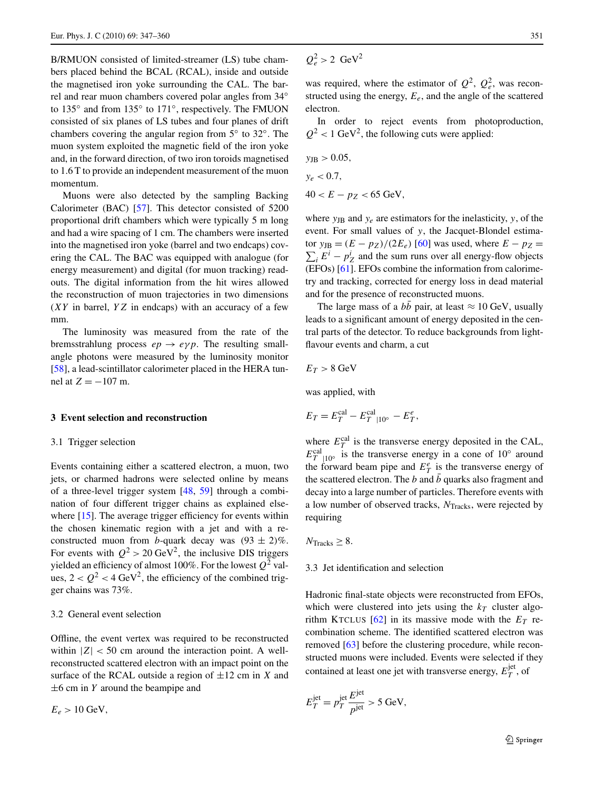B/RMUON consisted of limited-streamer (LS) tube chambers placed behind the BCAL (RCAL), inside and outside the magnetised iron yoke surrounding the CAL. The barrel and rear muon chambers covered polar angles from 34◦ to 135◦ and from 135◦ to 171◦, respectively. The FMUON consisted of six planes of LS tubes and four planes of drift chambers covering the angular region from 5◦ to 32◦. The muon system exploited the magnetic field of the iron yoke and, in the forward direction, of two iron toroids magnetised to 1.6 T to provide an independent measurement of the muon momentum.

Muons were also detected by the sampling Backing Calorimeter (BAC) [[57\]](#page-14-23). This detector consisted of 5200 proportional drift chambers which were typically 5 m long and had a wire spacing of 1 cm. The chambers were inserted into the magnetised iron yoke (barrel and two endcaps) covering the CAL. The BAC was equipped with analogue (for energy measurement) and digital (for muon tracking) readouts. The digital information from the hit wires allowed the reconstruction of muon trajectories in two dimensions (*XY* in barrel, *YZ* in endcaps) with an accuracy of a few mm.

The luminosity was measured from the rate of the bremsstrahlung process  $ep \rightarrow e\gamma p$ . The resulting smallangle photons were measured by the luminosity monitor [\[58](#page-14-24)], a lead-scintillator calorimeter placed in the HERA tunnel at  $Z = -107$  m.

#### **3 Event selection and reconstruction**

#### 3.1 Trigger selection

Events containing either a scattered electron, a muon, two jets, or charmed hadrons were selected online by means of a three-level trigger system [\[48](#page-14-17), [59\]](#page-15-0) through a combination of four different trigger chains as explained else-where [\[15](#page-14-25)]. The average trigger efficiency for events within the chosen kinematic region with a jet and with a reconstructed muon from *b*-quark decay was  $(93 \pm 2)\%$ . For events with  $Q^2 > 20 \text{ GeV}^2$ , the inclusive DIS triggers yielded an efficiency of almost 100%. For the lowest  $Q^2$  values,  $2 < Q^2 < 4$  GeV<sup>2</sup>, the efficiency of the combined trigger chains was 73%.

#### 3.2 General event selection

Offline, the event vertex was required to be reconstructed within  $|Z|$  < 50 cm around the interaction point. A wellreconstructed scattered electron with an impact point on the surface of the RCAL outside a region of  $\pm 12$  cm in *X* and ±6 cm in *Y* around the beampipe and

 $E_e > 10 \text{ GeV},$ 

$$
Q_e^2 > 2 \text{ GeV}^2
$$

was required, where the estimator of  $Q^2$ ,  $Q_e^2$ , was reconstructed using the energy,  $E_e$ , and the angle of the scattered electron.

In order to reject events from photoproduction,  $Q^2$  < 1 GeV<sup>2</sup>, the following cuts were applied:

$$
y_{\text{JB}} > 0.05,
$$
  
\n
$$
y_e < 0.7,
$$
  
\n
$$
40 < E - p_Z < 65 \text{ GeV},
$$

where  $y_{\text{JB}}$  and  $y_e$  are estimators for the inelasticity, *y*, of the event. For small values of *y*, the Jacquet-Blondel estima- $\frac{1}{2}$  tor  $y_{\text{JB}} = (E - p_Z)/(2E_e)$  [\[60](#page-15-1)] was used, where  $E - p_Z =$  $\sum_i E^i - p_Z^i$  and the sum runs over all energy-flow objects (EFOs) [[61\]](#page-15-2). EFOs combine the information from calorimetry and tracking, corrected for energy loss in dead material and for the presence of reconstructed muons.

The large mass of a  $b\bar{b}$  pair, at least  $\approx 10$  GeV, usually leads to a significant amount of energy deposited in the central parts of the detector. To reduce backgrounds from lightflavour events and charm, a cut

$$
E_T>8~\rm GeV
$$

was applied, with

$$
E_T = E_T^{\text{cal}} - E_T^{\text{cal}}|_{10^{\circ}} - E_T^e,
$$

where  $E_T^{\text{cal}}$  is the transverse energy deposited in the CAL,  $E_T^{\text{cal}}|_{10}$  is the transverse energy in a cone of 10° around the forward beam pipe and  $E_T^e$  is the transverse energy of the scattered electron. The *b* and  $\bar{b}$  quarks also fragment and decay into a large number of particles. Therefore events with a low number of observed tracks,  $N<sub>Tracks</sub>$ , were rejected by requiring

 $N_{\text{Tracks}} \geq 8$ .

#### 3.3 Jet identification and selection

Hadronic final-state objects were reconstructed from EFOs, which were clustered into jets using the  $k_T$  cluster algorithm KTCLUS  $[62]$  in its massive mode with the  $E_T$  recombination scheme. The identified scattered electron was removed [[63\]](#page-15-4) before the clustering procedure, while reconstructed muons were included. Events were selected if they contained at least one jet with transverse energy,  $E_T^{\text{jet}}$ , of

$$
E_T^{\text{jet}} = p_T^{\text{jet}} \frac{E^{\text{jet}}}{p^{\text{jet}}} > 5 \text{ GeV},
$$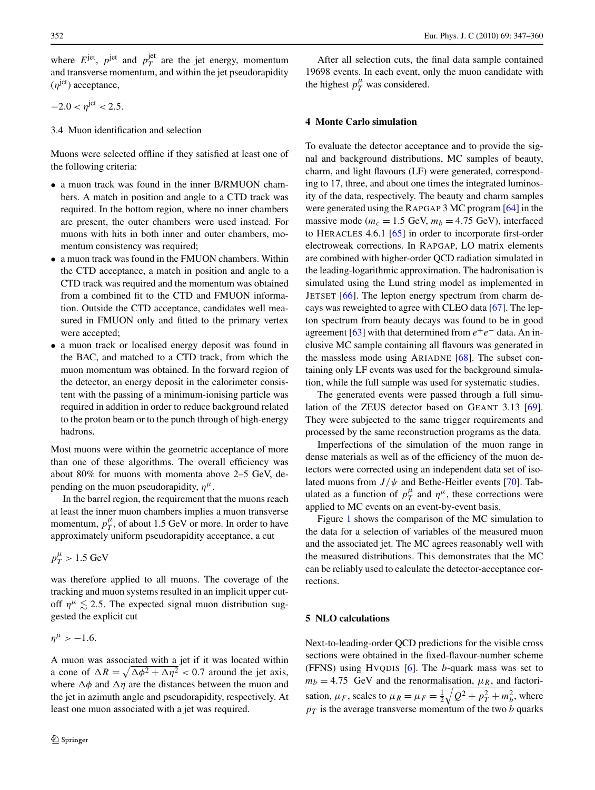where  $E^{jet}$ ,  $p^{jet}$  and  $p_T^{jet}$  are the jet energy, momentum and transverse momentum, and within the jet pseudorapidity (*η*jet) acceptance,

$$
-2.0 < \eta^{\rm jet} < 2.5.
$$

3.4 Muon identification and selection

Muons were selected offline if they satisfied at least one of the following criteria:

- a muon track was found in the inner B/RMUON chambers. A match in position and angle to a CTD track was required. In the bottom region, where no inner chambers are present, the outer chambers were used instead. For muons with hits in both inner and outer chambers, momentum consistency was required;
- a muon track was found in the FMUON chambers. Within the CTD acceptance, a match in position and angle to a CTD track was required and the momentum was obtained from a combined fit to the CTD and FMUON information. Outside the CTD acceptance, candidates well measured in FMUON only and fitted to the primary vertex were accepted;
- a muon track or localised energy deposit was found in the BAC, and matched to a CTD track, from which the muon momentum was obtained. In the forward region of the detector, an energy deposit in the calorimeter consistent with the passing of a minimum-ionising particle was required in addition in order to reduce background related to the proton beam or to the punch through of high-energy hadrons.

Most muons were within the geometric acceptance of more than one of these algorithms. The overall efficiency was about 80% for muons with momenta above 2–5 GeV, depending on the muon pseudorapidity,  $\eta^{\mu}$ .

In the barrel region, the requirement that the muons reach at least the inner muon chambers implies a muon transverse momentum,  $p_T^{\mu}$ , of about 1.5 GeV or more. In order to have approximately uniform pseudorapidity acceptance, a cut

$$
p_T^{\mu} > 1.5 \; \mathrm{GeV}
$$

was therefore applied to all muons. The coverage of the tracking and muon systems resulted in an implicit upper cutoff  $\eta^{\mu} \lesssim 2.5$ . The expected signal muon distribution suggested the explicit cut

 $\eta^{\mu}$  > -1.6*.* 

A muon was associated with a jet if it was located within a cone of  $\Delta R = \sqrt{\Delta \phi^2 + \Delta \eta^2} < 0.7$  around the jet axis, where  $\Delta \phi$  and  $\Delta \eta$  are the distances between the muon and the jet in azimuth angle and pseudorapidity, respectively. At least one muon associated with a jet was required.

After all selection cuts, the final data sample contained 19698 events. In each event, only the muon candidate with the highest  $p_T^{\mu}$  was considered.

#### **4 Monte Carlo simulation**

To evaluate the detector acceptance and to provide the signal and background distributions, MC samples of beauty, charm, and light flavours (LF) were generated, corresponding to 17, three, and about one times the integrated luminosity of the data, respectively. The beauty and charm samples were generated using the RAPGAP 3 MC program [[64\]](#page-15-5) in the massive mode ( $m_c = 1.5$  GeV,  $m_b = 4.75$  GeV), interfaced to HERACLES 4.6.1 [[65\]](#page-15-6) in order to incorporate first-order electroweak corrections. In RAPGAP, LO matrix elements are combined with higher-order QCD radiation simulated in the leading-logarithmic approximation. The hadronisation is simulated using the Lund string model as implemented in JETSET [\[66](#page-15-7)]. The lepton energy spectrum from charm decays was reweighted to agree with CLEO data [[67\]](#page-15-8). The lepton spectrum from beauty decays was found to be in good agreement [[63\]](#page-15-4) with that determined from  $e^+e^-$  data. An inclusive MC sample containing all flavours was generated in the massless mode using ARIADNE [\[68](#page-15-9)]. The subset containing only LF events was used for the background simulation, while the full sample was used for systematic studies.

The generated events were passed through a full simulation of the ZEUS detector based on GEANT 3.13 [\[69](#page-15-10)]. They were subjected to the same trigger requirements and processed by the same reconstruction programs as the data.

Imperfections of the simulation of the muon range in dense materials as well as of the efficiency of the muon detectors were corrected using an independent data set of isolated muons from  $J/\psi$  and Bethe-Heitler events [\[70](#page-15-11)]. Tabulated as a function of  $p_T^{\mu}$  and  $\eta^{\mu}$ , these corrections were applied to MC events on an event-by-event basis.

<span id="page-7-0"></span>Figure [1](#page-8-0) shows the comparison of the MC simulation to the data for a selection of variables of the measured muon and the associated jet. The MC agrees reasonably well with the measured distributions. This demonstrates that the MC can be reliably used to calculate the detector-acceptance corrections.

#### **5 NLO calculations**

Next-to-leading-order QCD predictions for the visible cross sections were obtained in the fixed-flavour-number scheme (FFNS) using HVQDIS [[6\]](#page-14-1). The *b*-quark mass was set to  $m_b = 4.75$  GeV and the renormalisation,  $\mu_R$ , and factorisation,  $\mu_F$ , scales to  $\mu_R = \mu_F = \frac{1}{2}\sqrt{Q^2 + p_T^2 + m_b^2}$ , where  $p_T$  is the average transverse momentum of the two *b* quarks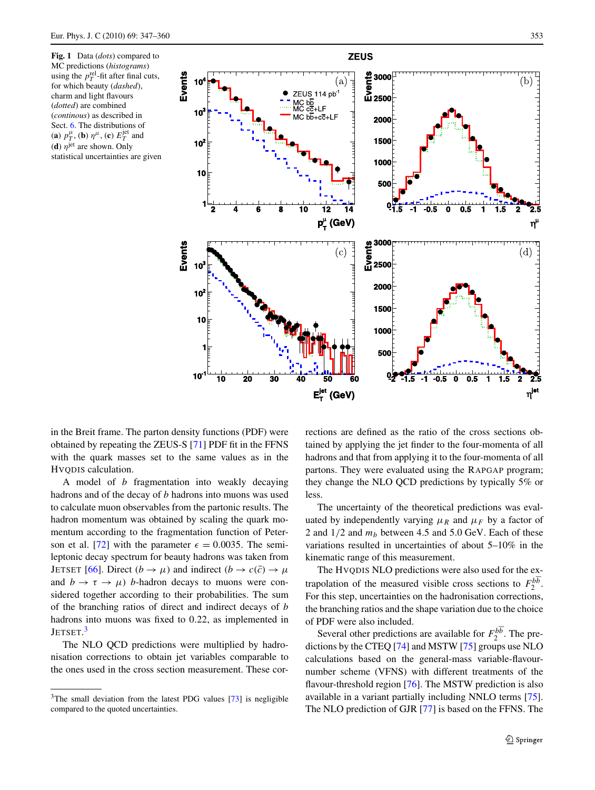<span id="page-8-0"></span>



in the Breit frame. The parton density functions (PDF) were obtained by repeating the ZEUS-S [\[71](#page-15-12)] PDF fit in the FFNS with the quark masses set to the same values as in the HVQDIS calculation.

A model of *b* fragmentation into weakly decaying hadrons and of the decay of *b* hadrons into muons was used to calculate muon observables from the partonic results. The hadron momentum was obtained by scaling the quark momentum according to the fragmentation function of Peter-son et al. [\[72](#page-15-13)] with the parameter  $\epsilon = 0.0035$ . The semileptonic decay spectrum for beauty hadrons was taken from **JETSET** [\[66](#page-15-7)]. Direct  $(b \rightarrow \mu)$  and indirect  $(b \rightarrow c(\bar{c}) \rightarrow \mu$ and  $b \to \tau \to \mu$ ) *b*-hadron decays to muons were considered together according to their probabilities. The sum of the branching ratios of direct and indirect decays of *b* hadrons into muons was fixed to 0*.*22, as implemented in  ${\rm JETSET.}^3$  ${\rm JETSET.}^3$ 

<span id="page-8-1"></span>The NLO QCD predictions were multiplied by hadronisation corrections to obtain jet variables comparable to the ones used in the cross section measurement. These corrections are defined as the ratio of the cross sections obtained by applying the jet finder to the four-momenta of all hadrons and that from applying it to the four-momenta of all partons. They were evaluated using the RAPGAP program; they change the NLO QCD predictions by typically 5% or less.

The uncertainty of the theoretical predictions was evaluated by independently varying  $\mu_R$  and  $\mu_F$  by a factor of 2 and  $1/2$  and  $m_b$  between 4.5 and 5.0 GeV. Each of these variations resulted in uncertainties of about 5–10% in the kinematic range of this measurement.

The HVQDIS NLO predictions were also used for the extrapolation of the measured visible cross sections to  $F_2^{b\overline{b}}$ . For this step, uncertainties on the hadronisation corrections, the branching ratios and the shape variation due to the choice of PDF were also included.

Several other predictions are available for  $F_2^{b\overline{b}}$ . The predictions by the CTEQ [[74\]](#page-15-15) and MSTW [[75\]](#page-15-16) groups use NLO calculations based on the general-mass variable-flavournumber scheme (VFNS) with different treatments of the flavour-threshold region [\[76](#page-15-17)]. The MSTW prediction is also available in a variant partially including NNLO terms [\[75](#page-15-16)]. The NLO prediction of GJR [\[77](#page-15-18)] is based on the FFNS. The

 $3$ The small deviation from the latest PDG values [\[73\]](#page-15-14) is negligible compared to the quoted uncertainties.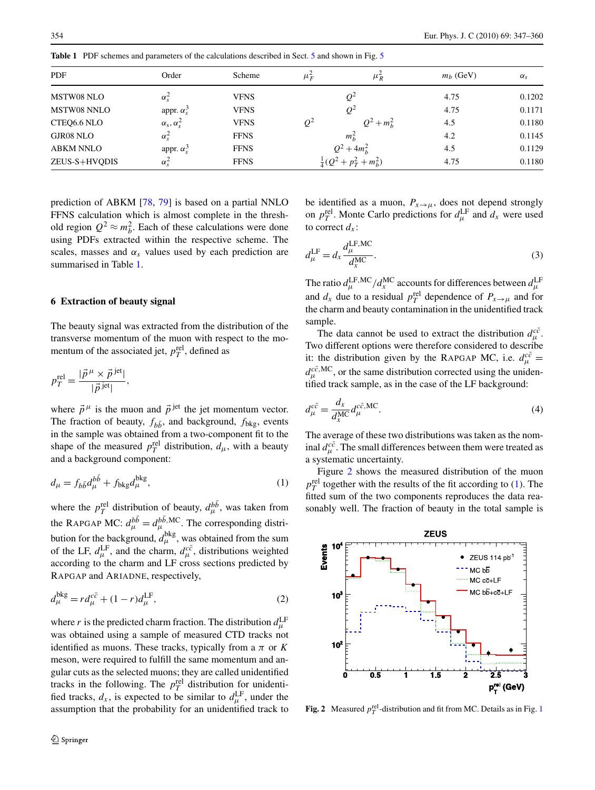<span id="page-9-1"></span>**Table 1** PDF schemes and parameters of the calculations described in Sect. [5](#page-7-0) and shown in Fig. [5](#page-14-26)

| PDF              | Order                  | Scheme      | $\mu_F^2$ | $\mu_R^2$                      | $m_h$ (GeV) | $\alpha_s$ |
|------------------|------------------------|-------------|-----------|--------------------------------|-------------|------------|
| MSTW08 NLO       | $\alpha_{\rm s}^2$     | <b>VFNS</b> |           | 04                             | 4.75        | 0.1202     |
| MSTW08 NNLO      | appr. $\alpha_s^3$     | <b>VFNS</b> |           | $Q^2$                          | 4.75        | 0.1171     |
| CTEQ6.6 NLO      | $\alpha_s, \alpha_s^2$ | <b>VFNS</b> | $Q^2$     | $Q^2 + m_h^2$                  | 4.5         | 0.1180     |
| GJR08 NLO        | $\alpha_s^2$           | <b>FFNS</b> |           | $m_h^2$                        | 4.2         | 0.1145     |
| <b>ABKM NNLO</b> | appr. $\alpha_s^3$     | <b>FFNS</b> |           | $Q^2 + 4m_h^2$                 | 4.5         | 0.1129     |
| ZEUS-S+HVQDIS    | $\alpha_s^2$           | <b>FFNS</b> |           | $\frac{1}{4}(Q^2+p_T^2+m_h^2)$ | 4.75        | 0.1180     |

<span id="page-9-0"></span>prediction of ABKM [[78,](#page-15-19) [79\]](#page-15-20) is based on a partial NNLO FFNS calculation which is almost complete in the threshold region  $Q^2 \approx m_b^2$ . Each of these calculations were done using PDFs extracted within the respective scheme. The scales, masses and  $\alpha_s$  values used by each prediction are summarised in Table [1](#page-9-1).

#### **6 Extraction of beauty signal**

The beauty signal was extracted from the distribution of the transverse momentum of the muon with respect to the momentum of the associated jet,  $p_T^{\text{rel}}$ , defined as

$$
p_T^{\text{rel}} = \frac{|\vec{p}^{\mu} \times \vec{p}^{\text{ jet}}|}{|\vec{p}^{\text{ jet}}|},
$$

where  $\vec{p}^{\mu}$  is the muon and  $\vec{p}^{\text{jet}}$  the jet momentum vector. The fraction of beauty,  $f_{b\bar{b}}$ , and background,  $f_{bkg}$ , events in the sample was obtained from a two-component fit to the shape of the measured  $p_T^{\text{rel}}$  distribution,  $d_{\mu}$ , with a beauty and a background component:

$$
d_{\mu} = f_{b\bar{b}}d_{\mu}^{b\bar{b}} + f_{bkg}d_{\mu}^{bkg},\tag{1}
$$

where the  $p_T^{\text{rel}}$  distribution of beauty,  $d_{\mu}^{b\bar{b}}$ , was taken from the RAPGAP MC:  $d_{\mu}^{b\bar{b}} = d_{\mu}^{b\bar{b},\text{MC}}$ . The corresponding distribution for the background,  $d_{\mu}^{\text{bkg}}$ , was obtained from the sum of the LF,  $d_{\mu}^{\text{LF}}$ , and the charm,  $d_{\mu}^{c\bar{c}}$ , distributions weighted according to the charm and LF cross sections predicted by RAPGAP and ARIADNE, respectively,

$$
d_{\mu}^{\text{bkg}} = r d_{\mu}^{c\bar{c}} + (1 - r) d_{\mu}^{\text{LF}},
$$
\n(2)

where *r* is the predicted charm fraction. The distribution  $d_{\mu}^{\text{LF}}$ was obtained using a sample of measured CTD tracks not identified as muons. These tracks, typically from a  $\pi$  or  $K$ meson, were required to fulfill the same momentum and angular cuts as the selected muons; they are called unidentified tracks in the following. The  $p_T^{\text{rel}}$  distribution for unidentified tracks,  $d_x$ , is expected to be similar to  $d_{\mu}^{\text{LF}}$ , under the assumption that the probability for an unidentified track to

<span id="page-9-6"></span>be identified as a muon,  $P_{x\to\mu}$ , does not depend strongly on  $p_T^{\text{rel}}$ . Monte Carlo predictions for  $d_{\mu}^{\text{LF}}$  and  $d_x$  were used to correct  $d_x$ :

$$
d_{\mu}^{\text{LF}} = d_x \frac{d_{\mu}^{\text{LF,MC}}}{d_x^{\text{MC}}}.
$$
\n(3)

The ratio  $d_{\mu}^{\text{LF},\text{MC}}/d_{x}^{\text{MC}}$  accounts for differences between  $d_{\mu}^{\text{LF}}$  and  $d_{x}$  due to a residual  $p_{T}^{\text{rel}}$  dependence of  $P_{x\rightarrow\mu}$  and for the charm and beauty contamination in the unidentified track sample.

<span id="page-9-5"></span>The data cannot be used to extract the distribution  $d_{\mu}^{c\bar{c}}$ . Two different options were therefore considered to describe it: the distribution given by the RAPGAP MC, i.e.  $d_{\mu}^{c\bar{c}} =$  $d_{\mu}^{c\bar{c},\text{MC}}$ , or the same distribution corrected using the unidentified track sample, as in the case of the LF background:

<span id="page-9-3"></span>
$$
d_{\mu}^{c\bar{c}} = \frac{d_x}{d_x^{\text{MC}}} d_{\mu}^{c\bar{c},\text{MC}}.
$$
\n(4)

The average of these two distributions was taken as the nominal  $d_{\mu}^{c\bar{c}}$ . The small differences between them were treated as a systematic uncertainty.

Figure [2](#page-9-2) shows the measured distribution of the muon  $p_T^{\text{rel}}$  together with the results of the fit according to [\(1](#page-9-3)). The fitted sum of the two components reproduces the data reasonably well. The fraction of beauty in the total sample is

<span id="page-9-4"></span>

<span id="page-9-2"></span>**Fig. 2** Measured  $p_T^{\text{rel}}$ -distribution and fit from MC. Details as in Fig. [1](#page-8-0)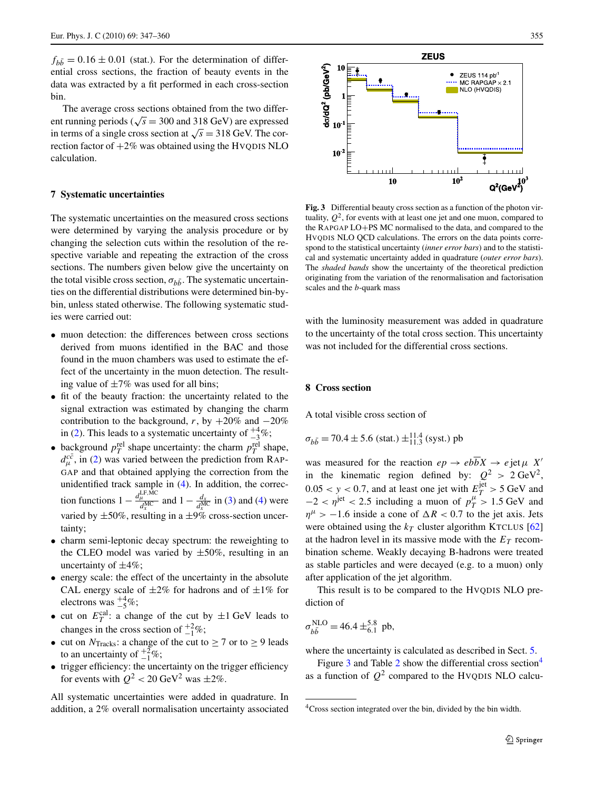$f_{b\bar{b}} = 0.16 \pm 0.01$  (stat.). For the determination of differential cross sections, the fraction of beauty events in the data was extracted by a fit performed in each cross-section bin.

The average cross sections obtained from the two different running periods ( $\sqrt{s}$  = 300 and 318 GeV) are expressed in terms of a single cross section at  $\sqrt{s}$  = 318 GeV. The correction factor of  $+2\%$  was obtained using the HVQDIS NLO calculation.

#### **7 Systematic uncertainties**

The systematic uncertainties on the measured cross sections were determined by varying the analysis procedure or by changing the selection cuts within the resolution of the respective variable and repeating the extraction of the cross sections. The numbers given below give the uncertainty on the total visible cross section,  $\sigma_{h\bar{h}}$ . The systematic uncertainties on the differential distributions were determined bin-bybin, unless stated otherwise. The following systematic studies were carried out:

- muon detection: the differences between cross sections derived from muons identified in the BAC and those found in the muon chambers was used to estimate the effect of the uncertainty in the muon detection. The resulting value of  $\pm 7\%$  was used for all bins;
- fit of the beauty fraction: the uncertainty related to the signal extraction was estimated by changing the charm contribution to the background, *r*, by  $+20\%$  and  $-20\%$ in [\(2](#page-9-4)). This leads to a systematic uncertainty of  $\frac{+4}{-3}\%$ ;
- background  $p_T^{\text{rel}}$  shape uncertainty: the charm  $p_T^{\text{rel}}$  shape,  $d_{\mu}^{c\bar{c}}$ , in [\(2](#page-9-4)) was varied between the prediction from RAP-GAP and that obtained applying the correction from the unidentified track sample in ([4\)](#page-9-5). In addition, the correction functions  $1 - \frac{d_{\mu}^{\text{LF,MC}}}{d_{x}^{\text{MC}}}$  and  $1 - \frac{d_{x}}{d_{x}^{\text{MC}}}$  in [\(3](#page-9-6)) and ([4\)](#page-9-5) were varied by  $\pm 50\%$ , resulting in a  $\pm 9\%$  cross-section uncertainty;
- charm semi-leptonic decay spectrum: the reweighting to the CLEO model was varied by  $\pm 50\%$ , resulting in an uncertainty of  $\pm 4\%$ ;
- energy scale: the effect of the uncertainty in the absolute CAL energy scale of  $\pm 2\%$  for hadrons and of  $\pm 1\%$  for electrons was  $^{+4}_{-5}\%$ ;
- cut on  $E_T^{\text{cal}}$ : a change of the cut by  $\pm 1 \text{ GeV}$  leads to changes in the cross section of  $_{-1}^{+2}\%$ ;
- cut on  $N<sub>Tracks</sub>$ : a change of the cut to  $\geq 7$  or to  $\geq 9$  leads to an uncertainty of  $\frac{+2}{-1}\%$ ;
- trigger efficiency: the uncertainty on the trigger efficiency for events with  $Q^2 < 20 \text{ GeV}^2$  was  $\pm 2\%$ .

All systematic uncertainties were added in quadrature. In addition, a 2% overall normalisation uncertainty associated



<span id="page-10-0"></span>**Fig. 3** Differential beauty cross section as a function of the photon virtuality,  $Q^2$ , for events with at least one jet and one muon, compared to the RAPGAP LO+PS MC normalised to the data, and compared to the HVQDIS NLO QCD calculations. The errors on the data points correspond to the statistical uncertainty (*inner error bars*) and to the statistical and systematic uncertainty added in quadrature (*outer error bars*). The *shaded bands* show the uncertainty of the theoretical prediction originating from the variation of the renormalisation and factorisation scales and the *b*-quark mass

<span id="page-10-2"></span>with the luminosity measurement was added in quadrature to the uncertainty of the total cross section. This uncertainty was not included for the differential cross sections.

#### **8 Cross section**

A total visible cross section of

$$
\sigma_{b\bar{b}} = 70.4 \pm 5.6
$$
 (stat.)  $\pm_{11.3}^{11.4}$  (syst.) pb

was measured for the reaction  $ep \rightarrow eb\overline{b}X \rightarrow e$  jet  $\mu X'$ in the kinematic region defined by:  $Q^2 > 2 \text{ GeV}^2$ ,  $0.05 < y < 0.7$ , and at least one jet with  $E_T^{\text{jet}} > 5 \text{ GeV}$  and  $-2 < \eta$ <sup>iet</sup> < 2.5 including a muon of  $p_T^{\mu} > 1.5$  GeV and  $\eta^{\mu}$  > −1.6 inside a cone of  $\Delta R$  < 0.7 to the jet axis. Jets were obtained using the  $k_T$  cluster algorithm KTCLUS [[62\]](#page-15-3) at the hadron level in its massive mode with the  $E_T$  recombination scheme. Weakly decaying B-hadrons were treated as stable particles and were decayed (e.g. to a muon) only after application of the jet algorithm.

This result is to be compared to the HVQDIS NLO prediction of

<span id="page-10-1"></span>
$$
\sigma_{b\bar{b}}^{\text{NLO}} = 46.4 \pm ^{5.8}_{6.1} \text{ pb},
$$

where the uncertainty is calculated as described in Sect. [5.](#page-7-0)

Figure [3](#page-10-0) and Table [2](#page-11-0) show the differential cross section<sup>[4](#page-10-1)</sup> as a function of  $Q^2$  compared to the HVQDIS NLO calcu-

<sup>&</sup>lt;sup>4</sup>Cross section integrated over the bin, divided by the bin width.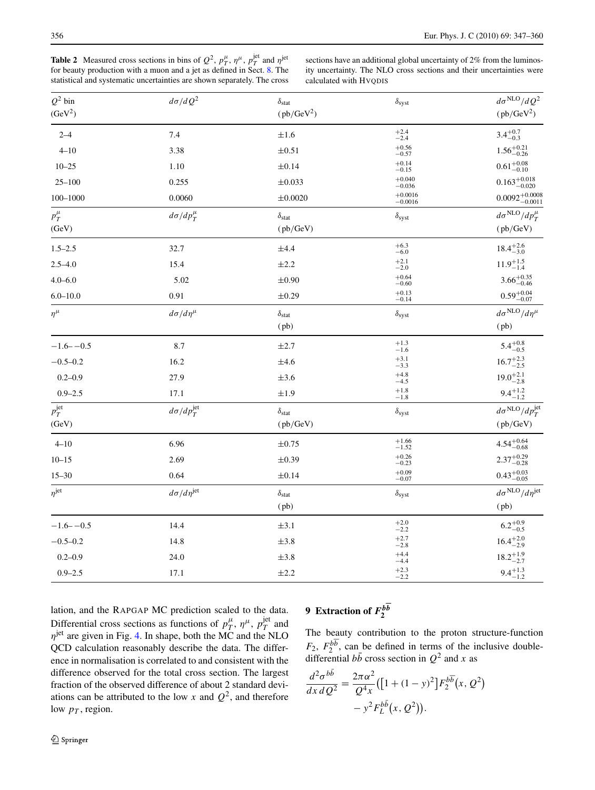<span id="page-11-0"></span>**Table 2** Measured cross sections in bins of  $Q^2$ ,  $p_T^{\mu}$ ,  $\eta^{\mu}$ ,  $p_T^{\text{jet}}$  and  $\eta^{\text{jet}}$  for beauty production with a muon and a jet as defined in Sect. [8](#page-10-2). The statistical and systematic uncertainties are shown separately. The cross

sections have an additional global uncertainty of 2% from the luminosity uncertainty. The NLO cross sections and their uncertainties were calculated with HVQDIS

| $Q^2$ bin           | $d\sigma/dQ^2$            | $\delta_{\rm stat}$ | $\delta_{syst}$               | $d\sigma^{\rm NLO}/dQ^2$            |
|---------------------|---------------------------|---------------------|-------------------------------|-------------------------------------|
| (GeV <sup>2</sup> ) |                           | $(pb/GeV^2)$        |                               | $(pb/GeV^2)$                        |
| $2 - 4$             | 7.4                       | $\pm 1.6$           | $^{+2.4}_{-2.4}$              | $3.4^{+0.7}_{-0.3}$                 |
| $4 - 10$            | 3.38                      | $\pm 0.51$          | $^{+0.56}_{-0.57}$            | $1.56^{+0.21}_{-0.26}$              |
| $10 - 25$           | 1.10                      | $\pm 0.14$          | $+0.14$<br>$-0.15$            | $0.61^{+0.08}_{-0.10}$              |
| $25 - 100$          | 0.255                     | $\pm 0.033$         | $\substack{+0.040 \\ -0.036}$ | $0.163\substack{+0.018\\-0.020}$    |
| 100-1000            | 0.0060                    | ±0.0020             | $^{+0.0016}_{-0.0016}$        | $0.0092^{+0.0008}_{-0.0011}$        |
| $p_T^{\mu}$         | $d\sigma/dp_T^{\mu}$      | $\delta_{\rm stat}$ | $\delta_{syst}$               | $d\sigma^{\text{NLO}}/dp_T^{\mu}$   |
| (GeV)               |                           | (pb/GeV)            |                               | (pb/GeV)                            |
| $1.5 - 2.5$         | 32.7                      | $\pm 4.4$           | $+6.3$<br>$-6.0$              | $18.4^{+2.6}_{-3.0}$                |
| $2.5 - 4.0$         | 15.4                      | $\pm 2.2$           | $^{+2.1}_{-2.0}$              | $11.9^{+1.5}_{-1.4}$                |
| $4.0 - 6.0$         | 5.02                      | $\pm 0.90$          | $+0.64$<br>$-0.60$            | $3.66^{+0.35}_{-0.46}$              |
| $6.0 - 10.0$        | 0.91                      | $\pm 0.29$          | $+0.13$<br>$-0.14$            | $0.59^{+0.04}_{-0.07}$              |
| $\eta^\mu$          | $d\sigma/d\eta^\mu$       | $\delta_{\rm stat}$ | $\delta_{syst}$               | $d\sigma^{\rm NLO}/d\eta^\mu$       |
|                     |                           | (pb)                |                               | (pb)                                |
| $-1.6 - -0.5$       | 8.7                       | $\pm 2.7$           | $+1.3$<br>$-1.6$              | $5.4^{+0.8}_{-0.5}$                 |
| $-0.5 - 0.2$        | 16.2                      | ±4.6                | $+3.1$<br>$-3.3$              | $16.7^{+2.3}_{-2.5}$                |
| $0.2 - 0.9$         | 27.9                      | $\pm 3.6$           | $^{+4.8}_{-4.5}$              | $19.0^{+2.1}_{-2.8}$                |
| $0.9 - 2.5$         | 17.1                      | $\pm 1.9$           | $^{+1.8}_{-1.8}$              | $9.4^{+1.2}_{-1.2}$                 |
| $p_T^{\rm jet}$     | $d\sigma/dp_T^{\rm jet}$  | $\delta_{\rm stat}$ | $\delta_{syst}$               | $d\sigma^{\rm NLO}/dp_T^{\rm jet}$  |
| (GeV)               |                           | (pb/GeV)            |                               | (pb/GeV)                            |
| $4 - 10$            | 6.96                      | $\pm 0.75$          | $^{+1.66}_{-1.52}$            | $4.54^{+0.64}_{-0.68}$              |
| $10 - 15$           | 2.69                      | $\pm 0.39$          | $+0.26$<br>$-0.23$            | $2.37^{+0.29}_{-0.28}$              |
| $15 - 30$           | 0.64                      | $\pm 0.14$          | $+0.09$<br>$-0.07$            | $0.43^{+0.03}_{-0.05}$              |
| $n^{jet}$           | $d\sigma/d\eta^{\rm jet}$ | $\delta_{\rm stat}$ | $\delta_{syst}$               | $d\sigma^{\rm NLO}/d\eta^{\rm jet}$ |
|                     |                           | (pb)                |                               | (pb)                                |
| $-1.6 - -0.5$       | 14.4                      | $\pm 3.1$           | $^{+2.0}_{-2.2}$              | $6.2^{+0.9}_{-0.5}$                 |
| $-0.5-0.2$          | 14.8                      | $\pm 3.8$           | $^{+2.7}_{-2.8}$              | $16.4^{+2.0}_{-2.9}$                |
| $0.2 - 0.9$         | 24.0                      | $\pm 3.8$           | $+4.4$<br>$-4.4$              | $18.2^{+1.9}_{-2.7}$                |
| $0.9 - 2.5$         | 17.1                      | $\pm 2.2$           | $+2.3$<br>$-2.2$              | $9.4^{+1.3}_{-1.2}$                 |

lation, and the RAPGAP MC prediction scaled to the data. Differential cross sections as functions of  $p_T^{\mu}$ ,  $\eta^{\mu}$ ,  $p_T^{\text{jet}}$  and *n*<sup>jet</sup> are given in Fig. [4.](#page-12-0) In shape, both the MC and the NLO QCD calculation reasonably describe the data. The difference in normalisation is correlated to and consistent with the difference observed for the total cross section. The largest fraction of the observed difference of about 2 standard deviations can be attributed to the low *x* and  $Q^2$ , and therefore low  $p_T$ , region.

### <span id="page-11-1"></span>**9** Extraction of  $F_2^{b\overline{b}}$

The beauty contribution to the proton structure-function  $F_2$ ,  $F_2^{b\overline{b}}$ , can be defined in terms of the inclusive doubledifferential  $b\bar{b}$  cross section in  $Q^2$  and *x* as

$$
\frac{d^2\sigma^{b\bar{b}}}{dx\,dQ^2} = \frac{2\pi\alpha^2}{Q^4x} \left( \left[ 1 + (1-y)^2 \right] F_2^{b\bar{b}}(x, Q^2) - y^2 F_L^{b\bar{b}}(x, Q^2) \right).
$$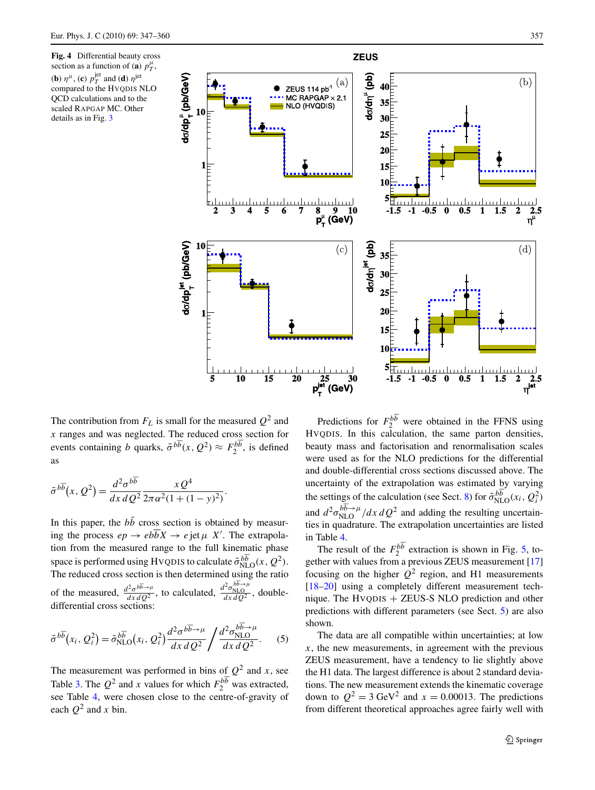<span id="page-12-0"></span>**Fig. 4** Differential beauty cross section as a function of (**a**)  $p_T^{\mu}$ , (**b**)  $\eta^{\mu}$ , (**c**)  $p_T^{jet}$  and (**d**)  $\eta^{jet}$ compared to the HVQDIS NLO QCD calculations and to the scaled RAPGAP MC. Other details as in Fig. [3](#page-10-0)



The contribution from  $F_L$  is small for the measured  $Q^2$  and *x* ranges and was neglected. The reduced cross section for events containing *b* quarks,  $\tilde{\sigma}^{b\overline{b}}(x, Q^2) \approx F_2^{b\overline{b}}$ , is defined

$$
\tilde{\sigma}^{b\overline{b}}(x, Q^2) = \frac{d^2 \sigma^{b\overline{b}}}{dx \, d \, Q^2} \frac{x \, Q^4}{2\pi \alpha^2 (1 + (1 - y)^2)}.
$$

as

In this paper, the  $b\bar{b}$  cross section is obtained by measuring the process  $ep \rightarrow eb\overline{b}X \rightarrow e\,jet\,\mu X'$ . The extrapolation from the measured range to the full kinematic phase space is performed using HVQDIS to calculate  $\tilde{\sigma}_{NLO}^{b\overline{b}}(x,Q^2)$ . The reduced cross section is then determined using the ratio of the measured,  $\frac{d^2 \sigma^{b\overline{b}\rightarrow \mu}}{dx\,dQ^2}$ , to calculated,  $\frac{d^2 \sigma_{\text{NLO}}^{b\overline{b}\rightarrow \mu}}{dx\,dQ^2}$ , doubledifferential cross sections:

$$
\tilde{\sigma}^{b\overline{b}}(x_i, Q_i^2) = \tilde{\sigma}_{\text{NLO}}^{b\overline{b}}(x_i, Q_i^2) \frac{d^2 \sigma^{b\overline{b}\rightarrow \mu}}{dx \, d \, Q^2} / \frac{d^2 \sigma_{\text{NLO}}^{b\overline{b}\rightarrow \mu}}{dx \, d \, Q^2}.
$$
 (5)

The measurement was performed in bins of  $Q^2$  and *x*, see Table [3](#page-13-0). The  $Q^2$  and *x* values for which  $F_2^{b\overline{b}}$  was extracted, see Table [4,](#page-13-1) were chosen close to the centre-of-gravity of each  $Q^2$  and *x* bin.

Predictions for  $F_2^{b\overline{b}}$  were obtained in the FFNS using HVQDIS. In this calculation, the same parton densities, beauty mass and factorisation and renormalisation scales were used as for the NLO predictions for the differential and double-differential cross sections discussed above. The uncertainty of the extrapolation was estimated by varying the settings of the calculation (see Sect. [8\)](#page-10-2) for  $\tilde{\sigma}_{NLO}^{b\overline{b}}(x_i, Q_i^2)$ and  $d^2 \sigma_{\text{NLO}}^{b\overline{b}\rightarrow\mu}/dx \, dQ^2$  and adding the resulting uncertainties in quadrature. The extrapolation uncertainties are listed in Table [4](#page-13-1).

The result of the  $F_2^{b\overline{b}}$  extraction is shown in Fig. [5](#page-14-26), together with values from a previous ZEUS measurement [[17\]](#page-14-15) focusing on the higher  $Q^2$  region, and H1 measurements [\[18](#page-14-16)[–20](#page-14-3)] using a completely different measurement technique. The HVQDIS + ZEUS-S NLO prediction and other predictions with different parameters (see Sect. [5\)](#page-7-0) are also shown.

The data are all compatible within uncertainties; at low  $x$ , the new measurements, in agreement with the previous ZEUS measurement, have a tendency to lie slightly above the H1 data. The largest difference is about 2 standard deviations. The new measurement extends the kinematic coverage down to  $Q^2 = 3 \text{ GeV}^2$  and  $x = 0.00013$ . The predictions from different theoretical approaches agree fairly well with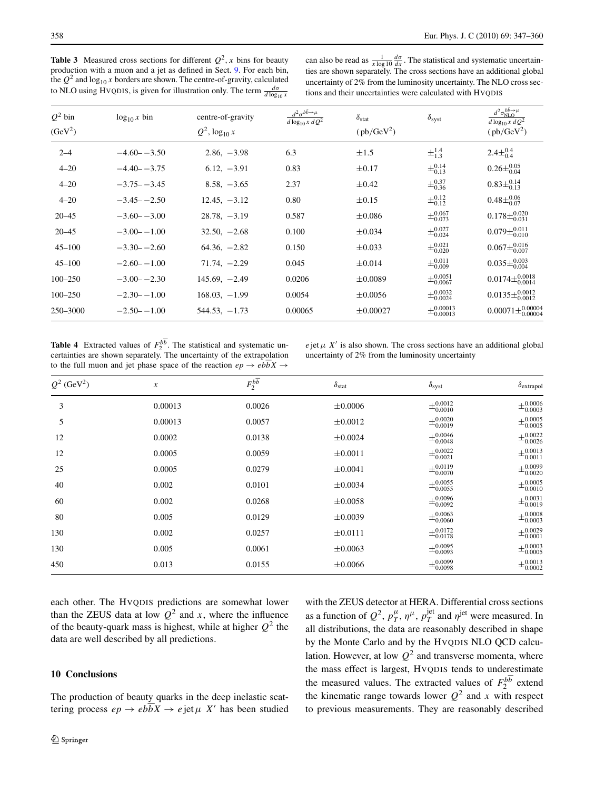<span id="page-13-0"></span>**Table 3** Measured cross sections for different  $Q^2$ , x bins for beauty production with a muon and a jet as defined in Sect. [9.](#page-11-1) For each bin, the  $Q^2$  and  $\log_{10} x$  borders are shown. The centre-of-gravity, calculated to NLO using HVQDIS, is given for illustration only. The term  $\frac{d\sigma}{d\log_{10} x}$ 

can also be read as  $\frac{1}{x \log 10} \frac{d\sigma}{dx}$ . The statistical and systematic uncertainties are shown separately. The cross sections have an additional global uncertainty of 2% from the luminosity uncertainty. The NLO cross sections and their uncertainties were calculated with HVQDIS

| $Q^2$ bin<br>(GeV <sup>2</sup> ) | $\log_{10} x \sin$ | centre-of-gravity<br>$Q^2$ , $\log_{10} x$ | $d^2\sigma^{b\bar{b}\rightarrow\mu}$<br>$d \log_{10} x dQ^2$ | $\delta_{\text{stat}}$<br>$(pb/GeV^2)$ | $\delta_{syst}$                     | $d^2\sigma^{b\bar b\to\mu}_{\mathrm{NLO}}$<br>$d \log_{10} x d \overline{Q^2}$<br>$(pb/GeV^2)$ |
|----------------------------------|--------------------|--------------------------------------------|--------------------------------------------------------------|----------------------------------------|-------------------------------------|------------------------------------------------------------------------------------------------|
| $2 - 4$                          | $-4.60 - -3.50$    | $2.86, -3.98$                              | 6.3                                                          | $\pm 1.5$                              | $\pm^{1.4}_{1.3}$                   | $2.4\pm^{0.4}_{0.4}$                                                                           |
| $4 - 20$                         | $-4.40 - -3.75$    | $6.12, -3.91$                              | 0.83                                                         | $\pm 0.17$                             | $\pm^{0.14}_{0.13}$                 | $0.26 \pm \substack{0.05 \\ 0.04}$                                                             |
| $4 - 20$                         | $-3.75 - -3.45$    | $8.58, -3.65$                              | 2.37                                                         | $\pm 0.42$                             | $\pm^{0.37}_{0.36}$                 | $0.83\pm^{0.14}_{0.13}$                                                                        |
| $4 - 20$                         | $-3.45 - -2.50$    | $12.45, -3.12$                             | 0.80                                                         | $\pm 0.15$                             | $\pm^{0.12}_{0.12}$                 | $0.48\pm^{0.06}_{0.07}$                                                                        |
| $20 - 45$                        | $-3.60 - -3.00$    | $28.78, -3.19$                             | 0.587                                                        | $\pm 0.086$                            | $\pm^{0.067}_{0.073}$               | $0.178 \pm {}^{0.020}_{0.031}$                                                                 |
| $20 - 45$                        | $-3.00 - -1.00$    | $32.50, -2.68$                             | 0.100                                                        | $\pm 0.034$                            | $\pm_{0.024}^{0.027}$               | $0.079\pm_{0.010}^{0.011}$                                                                     |
| $45 - 100$                       | $-3.30 - -2.60$    | $64.36, -2.82$                             | 0.150                                                        | $\pm 0.033$                            | $\pm^{0.021}_{0.020}$               | $0.067\pm_{0.007}^{0.016}$                                                                     |
| $45 - 100$                       | $-2.60 - -1.00$    | $71.74, -2.29$                             | 0.045                                                        | $\pm 0.014$                            | $\pm^{0.011}_{0.009}$               | $0.035\pm_{0.004}^{0.003}$                                                                     |
| $100 - 250$                      | $-3.00 - -2.30$    | $145.69, -2.49$                            | 0.0206                                                       | $\pm 0.0089$                           | $\pm^{0.0051}_{0.0067}$             | $0.0174\pm_{0.0014}^{0.0018}$                                                                  |
| $100 - 250$                      | $-2.30 - -1.00$    | $168.03, -1.99$                            | 0.0054                                                       | $\pm 0.0056$                           | $\pm^{0.0032}_{0.0024}$             | $0.0135 \pm 0.0012$                                                                            |
| 250-3000                         | $-2.50 - -1.00$    | $544.53, -1.73$                            | 0.00065                                                      | $\pm 0.00027$                          | $\pm \substack{0.00013 \\ 0.00013}$ | $0.00071 \pm 0.00004$                                                                          |

<span id="page-13-1"></span>**Table 4** Extracted values of  $F_2^{b\overline{b}}$ . The statistical and systematic uncertainties are shown separately. The uncertainty of the extrapolation to the full muon and jet phase space of the reaction  $ep \rightarrow eb\overline{b}X \rightarrow$ 

 $e$  jet  $\mu$  X' is also shown. The cross sections have an additional global uncertainty of 2% from the luminosity uncertainty

| $Q^2$ (GeV <sup>2</sup> ) | $\boldsymbol{x}$ | $F_2^{b\overline{b}}$ | $\delta_{\rm stat}$ | $\delta_{syst}$                   | $\delta$ extrapol                 |
|---------------------------|------------------|-----------------------|---------------------|-----------------------------------|-----------------------------------|
| 3                         | 0.00013          | 0.0026                | $\pm 0.0006$        | $\pm^{0.0012}_{0.0010}$           | $\pm \substack{0.0006 \\ 0.0003}$ |
| 5                         | 0.00013          | 0.0057                | $\pm 0.0012$        | $\pm^{0.0020}_{0.0019}$           | $\pm^{0.0005}_{0.0005}$           |
| 12                        | 0.0002           | 0.0138                | $\pm 0.0024$        | $\pm \substack{0.0046 \\ 0.0048}$ | $\pm^{0.0022}_{0.0026}$           |
| 12                        | 0.0005           | 0.0059                | $\pm 0.0011$        | $\pm^{0.0022}_{0.0021}$           | $\pm^{0.0013}_{0.0011}$           |
| 25                        | 0.0005           | 0.0279                | $\pm 0.0041$        | $\pm^{0.0119}_{0.0070}$           | $\pm^{0.0099}_{0.0020}$           |
| 40                        | 0.002            | 0.0101                | $\pm 0.0034$        | $\pm^{0.0055}_{0.0055}$           | $\pm^{0.0005}_{0.0010}$           |
| 60                        | 0.002            | 0.0268                | $\pm 0.0058$        | $\pm^{0.0096}_{0.0092}$           | $\pm^{0.0031}_{0.0019}$           |
| 80                        | 0.005            | 0.0129                | $\pm 0.0039$        | $\pm \substack{0.0063 \\ 0.0060}$ | $\pm^{0.0008}_{0.0003}$           |
| 130                       | 0.002            | 0.0257                | ±0.0111             | $\pm^{0.0172}_{0.0178}$           | $\pm^{0.0029}_{0.0001}$           |
| 130                       | 0.005            | 0.0061                | $\pm 0.0063$        | $\pm^{0.0095}_{0.0093}$           | $\pm^{0.0003}_{0.0005}$           |
| 450                       | 0.013            | 0.0155                | $\pm 0.0066$        | $\pm^{0.0099}_{0.0098}$           | $\pm^{0.0013}_{0.0002}$           |

each other. The HVQDIS predictions are somewhat lower than the ZEUS data at low  $Q^2$  and *x*, where the influence of the beauty-quark mass is highest, while at higher  $Q^2$  the data are well described by all predictions.

#### **10 Conclusions**

The production of beauty quarks in the deep inelastic scattering process  $ep \rightarrow eb\overline{b}X \rightarrow e$  jet  $\mu X'$  has been studied with the ZEUS detector at HERA. Differential cross sections as a function of  $Q^2$ ,  $p_T^{\mu}$ ,  $\eta^{\mu}$ ,  $p_T^{\text{jet}}$  and  $\eta^{\text{jet}}$  were measured. In all distributions, the data are reasonably described in shape by the Monte Carlo and by the HVQDIS NLO QCD calculation. However, at low  $Q^2$  and transverse momenta, where the mass effect is largest, HVQDIS tends to underestimate the measured values. The extracted values of  $F_2^{b\overline{b}}$  extend the kinematic range towards lower  $Q^2$  and *x* with respect to previous measurements. They are reasonably described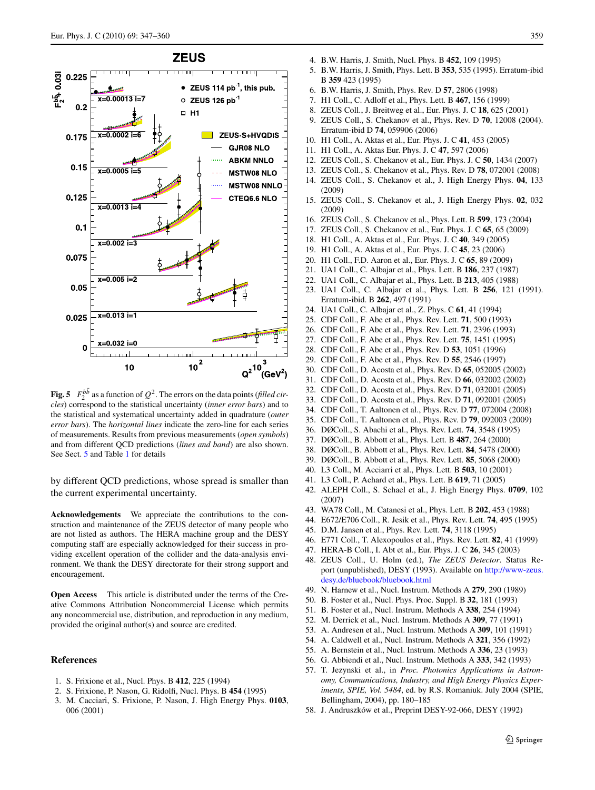

<span id="page-14-26"></span>**Fig. 5**  $F_2^{b\bar{b}}$  as a function of  $Q^2$ . The errors on the data points (*filled circles*) correspond to the statistical uncertainty (*inner error bars*) and to the statistical and systematical uncertainty added in quadrature (*outer error bars*). The *horizontal lines* indicate the zero-line for each series of measurements. Results from previous measurements (*open symbols*) and from different QCD predictions (*lines and band*) are also shown. See Sect. [5](#page-7-0) and Table [1](#page-9-1) for details

by different QCD predictions, whose spread is smaller than the current experimental uncertainty.

**Acknowledgements** We appreciate the contributions to the construction and maintenance of the ZEUS detector of many people who are not listed as authors. The HERA machine group and the DESY computing staff are especially acknowledged for their success in providing excellent operation of the collider and the data-analysis environment. We thank the DESY directorate for their strong support and encouragement.

<span id="page-14-0"></span>**Open Access** This article is distributed under the terms of the Creative Commons Attribution Noncommercial License which permits any noncommercial use, distribution, and reproduction in any medium, provided the original author(s) and source are credited.

#### **References**

- 1. S. Frixione et al., Nucl. Phys. B **412**, 225 (1994)
- 2. S. Frixione, P. Nason, G. Ridolfi, Nucl. Phys. B **454** (1995)
- 3. M. Cacciari, S. Frixione, P. Nason, J. High Energy Phys. **0103**, 006 (2001)
- <span id="page-14-2"></span><span id="page-14-1"></span>4. B.W. Harris, J. Smith, Nucl. Phys. B **452**, 109 (1995)
- 5. B.W. Harris, J. Smith, Phys. Lett. B **353**, 535 (1995). Erratum-ibid B **359** 423 (1995)
- 6. B.W. Harris, J. Smith, Phys. Rev. D **57**, 2806 (1998)
- <span id="page-14-25"></span>7. H1 Coll., C. Adloff et al., Phys. Lett. B **467**, 156 (1999)
- 8. ZEUS Coll., J. Breitweg et al., Eur. Phys. J. C **18**, 625 (2001)
- 9. ZEUS Coll., S. Chekanov et al., Phys. Rev. D **70**, 12008 (2004). Erratum-ibid D **74**, 059906 (2006)
- <span id="page-14-15"></span><span id="page-14-14"></span>10. H1 Coll., A. Aktas et al., Eur. Phys. J. C **41**, 453 (2005)
- <span id="page-14-16"></span>11. H1 Coll., A. Aktas Eur. Phys. J. C **47**, 597 (2006)
- 12. ZEUS Coll., S. Chekanov et al., Eur. Phys. J. C **50**, 1434 (2007)
- <span id="page-14-3"></span>13. ZEUS Coll., S. Chekanov et al., Phys. Rev. D **78**, 072001 (2008)
- <span id="page-14-4"></span>14. ZEUS Coll., S. Chekanov et al., J. High Energy Phys. **04**, 133 (2009)
- 15. ZEUS Coll., S. Chekanov et al., J. High Energy Phys. **02**, 032 (2009)
- <span id="page-14-5"></span>16. ZEUS Coll., S. Chekanov et al., Phys. Lett. B **599**, 173 (2004)
- 17. ZEUS Coll., S. Chekanov et al., Eur. Phys. J. C **65**, 65 (2009)
- <span id="page-14-6"></span>18. H1 Coll., A. Aktas et al., Eur. Phys. J. C **40**, 349 (2005)
- 19. H1 Coll., A. Aktas et al., Eur. Phys. J. C **45**, 23 (2006)
- 20. H1 Coll., F.D. Aaron et al., Eur. Phys. J. C **65**, 89 (2009)
- 21. UA1 Coll., C. Albajar et al., Phys. Lett. B **186**, 237 (1987)
- 22. UA1 Coll., C. Albajar et al., Phys. Lett. B **213**, 405 (1988)
- 23. UA1 Coll., C. Albajar et al., Phys. Lett. B **256**, 121 (1991). Erratum-ibid. B **262**, 497 (1991)
- 24. UA1 Coll., C. Albajar et al., Z. Phys. C **61**, 41 (1994)
- 25. CDF Coll., F. Abe et al., Phys. Rev. Lett. **71**, 500 (1993)
- 26. CDF Coll., F. Abe et al., Phys. Rev. Lett. **71**, 2396 (1993)
- 27. CDF Coll., F. Abe et al., Phys. Rev. Lett. **75**, 1451 (1995)
- 28. CDF Coll., F. Abe et al., Phys. Rev. D **53**, 1051 (1996)
- 29. CDF Coll., F. Abe et al., Phys. Rev. D **55**, 2546 (1997)
- <span id="page-14-7"></span>30. CDF Coll., D. Acosta et al., Phys. Rev. D **65**, 052005 (2002)
- <span id="page-14-8"></span>31. CDF Coll., D. Acosta et al., Phys. Rev. D **66**, 032002 (2002)
- 32. CDF Coll., D. Acosta et al., Phys. Rev. D **71**, 032001 (2005)
- <span id="page-14-9"></span>33. CDF Coll., D. Acosta et al., Phys. Rev. D **71**, 092001 (2005)
- 34. CDF Coll., T. Aaltonen et al., Phys. Rev. D **77**, 072004 (2008)
- <span id="page-14-10"></span>35. CDF Coll., T. Aaltonen et al., Phys. Rev. D **79**, 092003 (2009)
- <span id="page-14-11"></span>36. DØColl., S. Abachi et al., Phys. Rev. Lett. **74**, 3548 (1995) 37. DØColl., B. Abbott et al., Phys. Lett. B **487**, 264 (2000)
- <span id="page-14-12"></span>38. DØColl., B. Abbott et al., Phys. Rev. Lett. **84**, 5478 (2000)
- 39. DØColl., B. Abbott et al., Phys. Rev. Lett. **85**, 5068 (2000)
- <span id="page-14-17"></span><span id="page-14-13"></span>40. L3 Coll., M. Acciarri et al., Phys. Lett. B **503**, 10 (2001)
- 41. L3 Coll., P. Achard et al., Phys. Lett. B **619**, 71 (2005)
- <span id="page-14-18"></span>42. ALEPH Coll., S. Schael et al., J. High Energy Phys. **0709**, 102 (2007)
- 43. WA78 Coll., M. Catanesi et al., Phys. Lett. B **202**, 453 (1988)
- <span id="page-14-19"></span>44. E672/E706 Coll., R. Jesik et al., Phys. Rev. Lett. **74**, 495 (1995)
- <span id="page-14-20"></span>45. D.M. Jansen et al., Phys. Rev. Lett. **74**, 3118 (1995)
- 46. E771 Coll., T. Alexopoulos et al., Phys. Rev. Lett. **82**, 41 (1999)
- 47. HERA-B Coll., I. Abt et al., Eur. Phys. J. C **26**, 345 (2003)
- <span id="page-14-22"></span><span id="page-14-21"></span>48. ZEUS Coll., U. Holm (ed.), *The ZEUS Detector*. Status Report (unpublished), DESY (1993). Available on [http://www-zeus.](http://www-zeus.desy.de/bluebook/bluebook.html) [desy.de/bluebook/bluebook.html](http://www-zeus.desy.de/bluebook/bluebook.html)
- <span id="page-14-23"></span>49. N. Harnew et al., Nucl. Instrum. Methods A **279**, 290 (1989)
- 50. B. Foster et al., Nucl. Phys. Proc. Suppl. B **32**, 181 (1993)
- 51. B. Foster et al., Nucl. Instrum. Methods A **338**, 254 (1994)
- 52. M. Derrick et al., Nucl. Instrum. Methods A **309**, 77 (1991)
- <span id="page-14-24"></span>53. A. Andresen et al., Nucl. Instrum. Methods A **309**, 101 (1991)
- 54. A. Caldwell et al., Nucl. Instrum. Methods A **321**, 356 (1992)
- 55. A. Bernstein et al., Nucl. Instrum. Methods A **336**, 23 (1993)
- 56. G. Abbiendi et al., Nucl. Instrum. Methods A **333**, 342 (1993)
- 57. T. Jezynski et al., in *Proc. Photonics Applications in Astronomy, Communications, Industry, and High Energy Physics Experiments, SPIE, Vol. 5484*, ed. by R.S. Romaniuk. July 2004 (SPIE, Bellingham, 2004), pp. 180–185
- 58. J. Andruszków et al., Preprint DESY-92-066, DESY (1992)